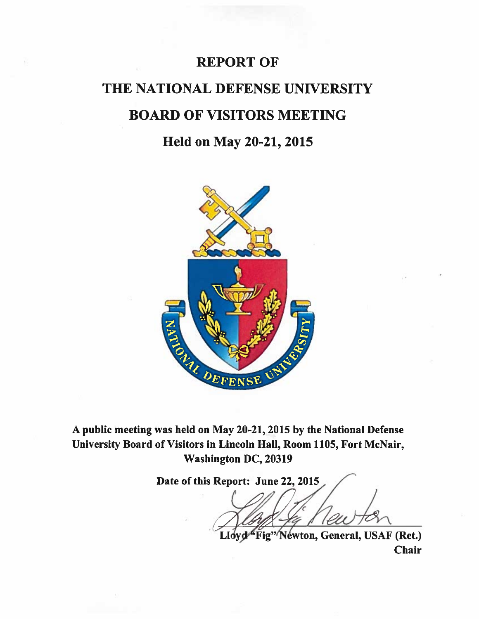### REPORT OF

# THE NATIONAL DEFENSE UNIVERSITY BOARD OF VISITORS MEETING

### Held on May 20-21, 2015



A public meeting was held on May 20-21, 2015 by the National Defense University Board of Visitors in Lincoln Hall, Room 1105, Fort McNair, Washington DC, 20319

Date of this Report: June 22, 2015 Lloyd Fig" Newton, General, USAF (Ret.)

Chair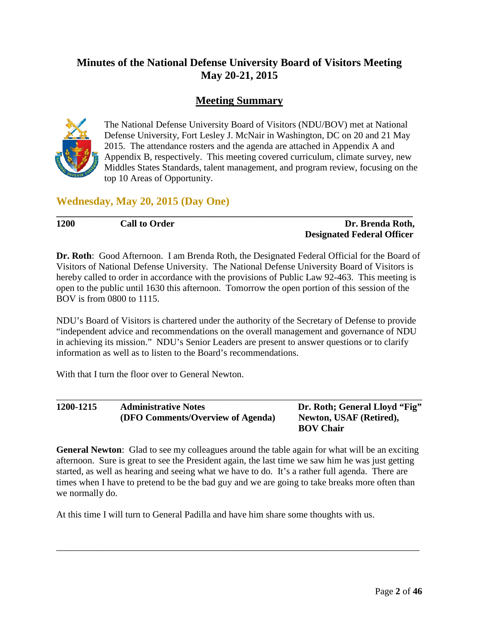#### **Minutes of the National Defense University Board of Visitors Meeting May 20-21, 2015**

#### **Meeting Summary**



The National Defense University Board of Visitors (NDU/BOV) met at National Defense University, Fort Lesley J. McNair in Washington, DC on 20 and 21 May 2015. The attendance rosters and the agenda are attached in Appendix A and Appendix B, respectively. This meeting covered curriculum, climate survey, new Middles States Standards, talent management, and program review, focusing on the top 10 Areas of Opportunity.

**Wednesday, May 20, 2015 (Day One)**

**1200 Call to Order Dr. Brenda Roth, Designated Federal Officer**

**Dr. Roth**: Good Afternoon. I am Brenda Roth, the Designated Federal Official for the Board of Visitors of National Defense University. The National Defense University Board of Visitors is hereby called to order in accordance with the provisions of Public Law 92-463. This meeting is open to the public until 1630 this afternoon. Tomorrow the open portion of this session of the BOV is from 0800 to 1115.

**\_\_\_\_\_\_\_\_\_\_\_\_\_\_\_\_\_\_\_\_\_\_\_\_\_\_\_\_\_\_\_\_\_\_\_\_\_\_\_\_\_\_\_\_\_\_\_\_\_\_\_\_\_\_\_\_\_\_\_\_\_\_\_\_\_\_\_\_\_\_\_\_\_\_\_\_**

NDU's Board of Visitors is chartered under the authority of the Secretary of Defense to provide "independent advice and recommendations on the overall management and governance of NDU in achieving its mission." NDU's Senior Leaders are present to answer questions or to clarify information as well as to listen to the Board's recommendations.

With that I turn the floor over to General Newton.

\_\_\_\_\_\_\_\_\_\_\_\_\_\_\_\_\_\_\_\_\_\_\_\_\_\_\_\_\_\_\_\_\_\_\_\_\_\_\_\_\_\_\_\_\_\_\_\_\_\_\_\_\_\_\_\_\_\_\_\_\_\_\_\_\_\_\_\_\_\_\_\_\_\_\_\_\_\_ **1200-1215 Administrative Notes Dr. Roth; General Lloyd "Fig" (DFO Comments/Overview of Agenda) Newton, USAF (Retired), BOV Chair** 

**General Newton**: Glad to see my colleagues around the table again for what will be an exciting afternoon. Sure is great to see the President again, the last time we saw him he was just getting started, as well as hearing and seeing what we have to do. It's a rather full agenda. There are times when I have to pretend to be the bad guy and we are going to take breaks more often than we normally do.

\_\_\_\_\_\_\_\_\_\_\_\_\_\_\_\_\_\_\_\_\_\_\_\_\_\_\_\_\_\_\_\_\_\_\_\_\_\_\_\_\_\_\_\_\_\_\_\_\_\_\_\_\_\_\_\_\_\_\_\_\_\_\_\_\_\_\_\_\_\_\_\_\_\_\_\_\_\_

At this time I will turn to General Padilla and have him share some thoughts with us.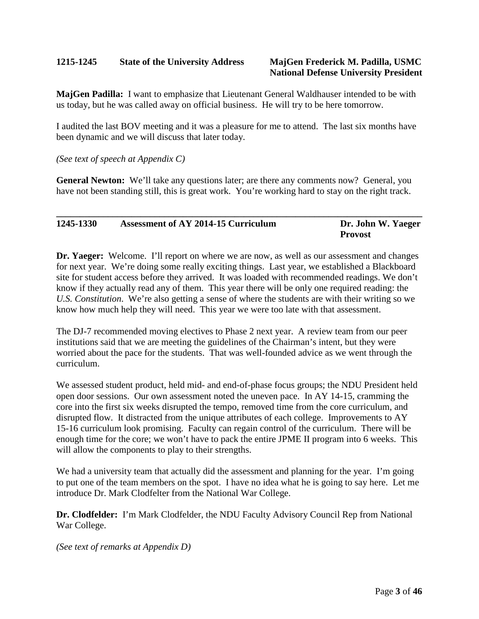#### **1215-1245 State of the University Address MajGen Frederick M. Padilla, USMC**

### **National Defense University President**

**MajGen Padilla:** I want to emphasize that Lieutenant General Waldhauser intended to be with us today, but he was called away on official business. He will try to be here tomorrow.

I audited the last BOV meeting and it was a pleasure for me to attend. The last six months have been dynamic and we will discuss that later today.

*(See text of speech at Appendix C)* 

**General Newton:** We'll take any questions later; are there any comments now? General, you have not been standing still, this is great work. You're working hard to stay on the right track.

| 1245-1330 | <b>Assessment of AY 2014-15 Curriculum</b> | Dr. John W. Yaeger |
|-----------|--------------------------------------------|--------------------|
|           |                                            | <b>Provost</b>     |

**Dr. Yaeger:** Welcome. I'll report on where we are now, as well as our assessment and changes for next year. We're doing some really exciting things. Last year, we established a Blackboard site for student access before they arrived. It was loaded with recommended readings. We don't know if they actually read any of them. This year there will be only one required reading: the *U.S. Constitution*. We're also getting a sense of where the students are with their writing so we know how much help they will need. This year we were too late with that assessment.

The DJ-7 recommended moving electives to Phase 2 next year. A review team from our peer institutions said that we are meeting the guidelines of the Chairman's intent, but they were worried about the pace for the students. That was well-founded advice as we went through the curriculum.

We assessed student product, held mid- and end-of-phase focus groups; the NDU President held open door sessions. Our own assessment noted the uneven pace. In AY 14-15, cramming the core into the first six weeks disrupted the tempo, removed time from the core curriculum, and disrupted flow. It distracted from the unique attributes of each college. Improvements to AY 15-16 curriculum look promising. Faculty can regain control of the curriculum. There will be enough time for the core; we won't have to pack the entire JPME II program into 6 weeks. This will allow the components to play to their strengths.

We had a university team that actually did the assessment and planning for the year. I'm going to put one of the team members on the spot. I have no idea what he is going to say here. Let me introduce Dr. Mark Clodfelter from the National War College.

**Dr. Clodfelder:** I'm Mark Clodfelder, the NDU Faculty Advisory Council Rep from National War College.

*(See text of remarks at Appendix D)*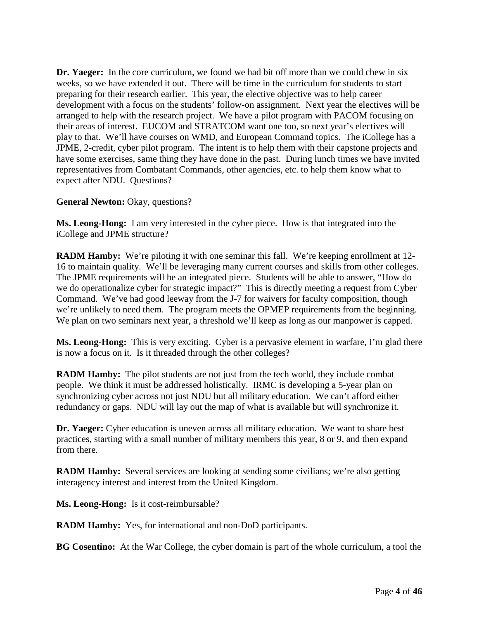**Dr. Yaeger:** In the core curriculum, we found we had bit off more than we could chew in six weeks, so we have extended it out. There will be time in the curriculum for students to start preparing for their research earlier. This year, the elective objective was to help career development with a focus on the students' follow-on assignment. Next year the electives will be arranged to help with the research project. We have a pilot program with PACOM focusing on their areas of interest. EUCOM and STRATCOM want one too, so next year's electives will play to that. We'll have courses on WMD, and European Command topics. The iCollege has a JPME, 2-credit, cyber pilot program. The intent is to help them with their capstone projects and have some exercises, same thing they have done in the past. During lunch times we have invited representatives from Combatant Commands, other agencies, etc. to help them know what to expect after NDU. Questions?

**General Newton:** Okay, questions?

**Ms. Leong-Hong:** I am very interested in the cyber piece. How is that integrated into the iCollege and JPME structure?

**RADM Hamby:** We're piloting it with one seminar this fall. We're keeping enrollment at 12- 16 to maintain quality. We'll be leveraging many current courses and skills from other colleges. The JPME requirements will be an integrated piece. Students will be able to answer, "How do we do operationalize cyber for strategic impact?" This is directly meeting a request from Cyber Command. We've had good leeway from the J-7 for waivers for faculty composition, though we're unlikely to need them. The program meets the OPMEP requirements from the beginning. We plan on two seminars next year, a threshold we'll keep as long as our manpower is capped.

**Ms. Leong-Hong:** This is very exciting. Cyber is a pervasive element in warfare, I'm glad there is now a focus on it. Is it threaded through the other colleges?

**RADM Hamby:** The pilot students are not just from the tech world, they include combat people. We think it must be addressed holistically. IRMC is developing a 5-year plan on synchronizing cyber across not just NDU but all military education. We can't afford either redundancy or gaps. NDU will lay out the map of what is available but will synchronize it.

**Dr. Yaeger:** Cyber education is uneven across all military education. We want to share best practices, starting with a small number of military members this year, 8 or 9, and then expand from there.

**RADM Hamby:** Several services are looking at sending some civilians; we're also getting interagency interest and interest from the United Kingdom.

**Ms. Leong-Hong:** Is it cost-reimbursable?

**RADM Hamby:** Yes, for international and non-DoD participants.

**BG Cosentino:** At the War College, the cyber domain is part of the whole curriculum, a tool the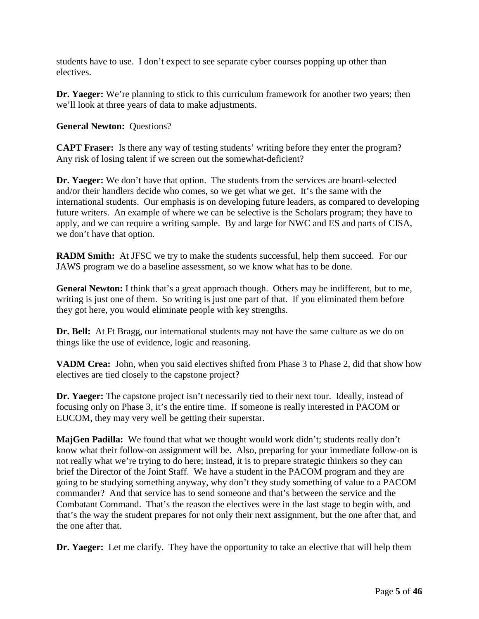students have to use. I don't expect to see separate cyber courses popping up other than electives.

**Dr. Yaeger:** We're planning to stick to this curriculum framework for another two years; then we'll look at three years of data to make adjustments.

**General Newton:** Questions?

**CAPT Fraser:** Is there any way of testing students' writing before they enter the program? Any risk of losing talent if we screen out the somewhat-deficient?

**Dr. Yaeger:** We don't have that option. The students from the services are board-selected and/or their handlers decide who comes, so we get what we get. It's the same with the international students. Our emphasis is on developing future leaders, as compared to developing future writers. An example of where we can be selective is the Scholars program; they have to apply, and we can require a writing sample. By and large for NWC and ES and parts of CISA, we don't have that option.

**RADM Smith:** At JFSC we try to make the students successful, help them succeed. For our JAWS program we do a baseline assessment, so we know what has to be done.

**General Newton:** I think that's a great approach though. Others may be indifferent, but to me, writing is just one of them. So writing is just one part of that. If you eliminated them before they got here, you would eliminate people with key strengths.

**Dr. Bell:** At Ft Bragg, our international students may not have the same culture as we do on things like the use of evidence, logic and reasoning.

**VADM Crea:** John, when you said electives shifted from Phase 3 to Phase 2, did that show how electives are tied closely to the capstone project?

**Dr. Yaeger:** The capstone project isn't necessarily tied to their next tour. Ideally, instead of focusing only on Phase 3, it's the entire time. If someone is really interested in PACOM or EUCOM, they may very well be getting their superstar.

**MajGen Padilla:** We found that what we thought would work didn't; students really don't know what their follow-on assignment will be. Also, preparing for your immediate follow-on is not really what we're trying to do here; instead, it is to prepare strategic thinkers so they can brief the Director of the Joint Staff. We have a student in the PACOM program and they are going to be studying something anyway, why don't they study something of value to a PACOM commander? And that service has to send someone and that's between the service and the Combatant Command. That's the reason the electives were in the last stage to begin with, and that's the way the student prepares for not only their next assignment, but the one after that, and the one after that.

**Dr. Yaeger:** Let me clarify. They have the opportunity to take an elective that will help them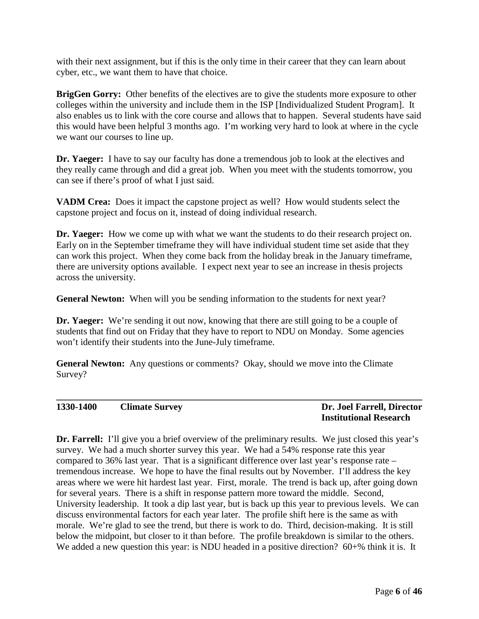with their next assignment, but if this is the only time in their career that they can learn about cyber, etc., we want them to have that choice.

**BrigGen Gorry:** Other benefits of the electives are to give the students more exposure to other colleges within the university and include them in the ISP [Individualized Student Program]. It also enables us to link with the core course and allows that to happen. Several students have said this would have been helpful 3 months ago. I'm working very hard to look at where in the cycle we want our courses to line up.

**Dr. Yaeger:** I have to say our faculty has done a tremendous job to look at the electives and they really came through and did a great job. When you meet with the students tomorrow, you can see if there's proof of what I just said.

**VADM Crea:** Does it impact the capstone project as well? How would students select the capstone project and focus on it, instead of doing individual research.

**Dr. Yaeger:** How we come up with what we want the students to do their research project on. Early on in the September timeframe they will have individual student time set aside that they can work this project. When they come back from the holiday break in the January timeframe, there are university options available. I expect next year to see an increase in thesis projects across the university.

**General Newton:** When will you be sending information to the students for next year?

**Dr. Yaeger:** We're sending it out now, knowing that there are still going to be a couple of students that find out on Friday that they have to report to NDU on Monday. Some agencies won't identify their students into the June-July timeframe.

**General Newton:** Any questions or comments? Okay, should we move into the Climate Survey?

**\_\_\_\_\_\_\_\_\_\_\_\_\_\_\_\_\_\_\_\_\_\_\_\_\_\_\_\_\_\_\_\_\_\_\_\_\_\_\_\_\_\_\_\_\_\_\_\_\_\_\_\_\_\_\_\_\_\_\_\_\_\_\_\_\_\_\_\_\_\_\_\_\_\_\_\_\_\_**

#### **1330-1400 Climate Survey Dr. Joel Farrell, Director**

## **Institutional Research**

**Dr.** Farrell: I'll give you a brief overview of the preliminary results. We just closed this year's survey. We had a much shorter survey this year. We had a 54% response rate this year compared to 36% last year. That is a significant difference over last year's response rate – tremendous increase. We hope to have the final results out by November. I'll address the key areas where we were hit hardest last year. First, morale. The trend is back up, after going down for several years. There is a shift in response pattern more toward the middle. Second, University leadership. It took a dip last year, but is back up this year to previous levels. We can discuss environmental factors for each year later. The profile shift here is the same as with morale. We're glad to see the trend, but there is work to do. Third, decision-making. It is still below the midpoint, but closer to it than before. The profile breakdown is similar to the others. We added a new question this year: is NDU headed in a positive direction? 60+% think it is. It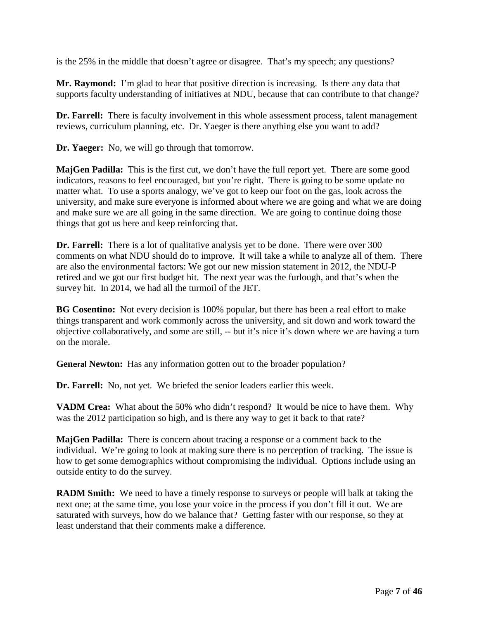is the 25% in the middle that doesn't agree or disagree. That's my speech; any questions?

**Mr. Raymond:** I'm glad to hear that positive direction is increasing. Is there any data that supports faculty understanding of initiatives at NDU, because that can contribute to that change?

**Dr. Farrell:** There is faculty involvement in this whole assessment process, talent management reviews, curriculum planning, etc. Dr. Yaeger is there anything else you want to add?

**Dr. Yaeger:** No, we will go through that tomorrow.

**MajGen Padilla:** This is the first cut, we don't have the full report yet. There are some good indicators, reasons to feel encouraged, but you're right. There is going to be some update no matter what. To use a sports analogy, we've got to keep our foot on the gas, look across the university, and make sure everyone is informed about where we are going and what we are doing and make sure we are all going in the same direction. We are going to continue doing those things that got us here and keep reinforcing that.

**Dr. Farrell:** There is a lot of qualitative analysis yet to be done. There were over 300 comments on what NDU should do to improve. It will take a while to analyze all of them. There are also the environmental factors: We got our new mission statement in 2012, the NDU-P retired and we got our first budget hit. The next year was the furlough, and that's when the survey hit. In 2014, we had all the turmoil of the JET.

**BG Cosentino:** Not every decision is 100% popular, but there has been a real effort to make things transparent and work commonly across the university, and sit down and work toward the objective collaboratively, and some are still, -- but it's nice it's down where we are having a turn on the morale.

**General Newton:** Has any information gotten out to the broader population?

**Dr. Farrell:** No, not yet. We briefed the senior leaders earlier this week.

**VADM Crea:** What about the 50% who didn't respond? It would be nice to have them. Why was the 2012 participation so high, and is there any way to get it back to that rate?

**MajGen Padilla:** There is concern about tracing a response or a comment back to the individual. We're going to look at making sure there is no perception of tracking. The issue is how to get some demographics without compromising the individual. Options include using an outside entity to do the survey.

**RADM Smith:** We need to have a timely response to surveys or people will balk at taking the next one; at the same time, you lose your voice in the process if you don't fill it out. We are saturated with surveys, how do we balance that? Getting faster with our response, so they at least understand that their comments make a difference.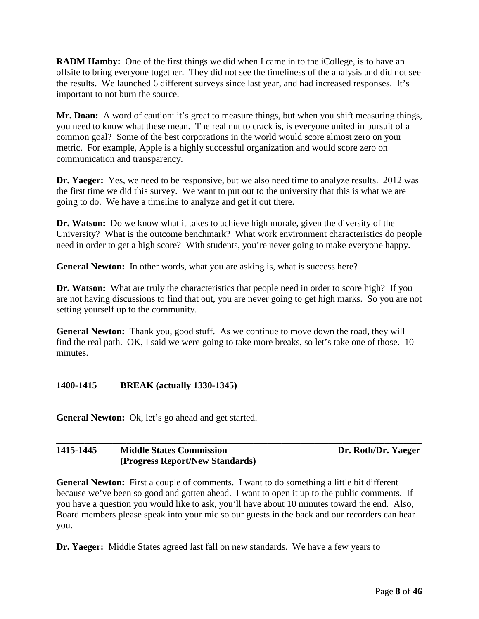**RADM Hamby:** One of the first things we did when I came in to the iCollege, is to have an offsite to bring everyone together. They did not see the timeliness of the analysis and did not see the results. We launched 6 different surveys since last year, and had increased responses. It's important to not burn the source.

**Mr. Doan:** A word of caution: it's great to measure things, but when you shift measuring things, you need to know what these mean. The real nut to crack is, is everyone united in pursuit of a common goal? Some of the best corporations in the world would score almost zero on your metric. For example, Apple is a highly successful organization and would score zero on communication and transparency.

**Dr. Yaeger:** Yes, we need to be responsive, but we also need time to analyze results. 2012 was the first time we did this survey. We want to put out to the university that this is what we are going to do. We have a timeline to analyze and get it out there.

**Dr. Watson:** Do we know what it takes to achieve high morale, given the diversity of the University? What is the outcome benchmark? What work environment characteristics do people need in order to get a high score? With students, you're never going to make everyone happy.

General Newton: In other words, what you are asking is, what is success here?

**Dr. Watson:** What are truly the characteristics that people need in order to score high? If you are not having discussions to find that out, you are never going to get high marks. So you are not setting yourself up to the community.

**General Newton:** Thank you, good stuff. As we continue to move down the road, they will find the real path. OK, I said we were going to take more breaks, so let's take one of those. 10 minutes.

\_\_\_\_\_\_\_\_\_\_\_\_\_\_\_\_\_\_\_\_\_\_\_\_\_\_\_\_\_\_\_\_\_\_\_\_\_\_\_\_\_\_\_\_\_\_\_\_\_\_\_\_\_\_\_\_\_\_\_\_\_\_\_\_\_\_\_\_\_\_\_\_\_\_\_\_\_\_

#### **1400-1415 BREAK (actually 1330-1345)**

**General Newton:** Ok, let's go ahead and get started.

#### **\_\_\_\_\_\_\_\_\_\_\_\_\_\_\_\_\_\_\_\_\_\_\_\_\_\_\_\_\_\_\_\_\_\_\_\_\_\_\_\_\_\_\_\_\_\_\_\_\_\_\_\_\_\_\_\_\_\_\_\_\_\_\_\_\_\_\_\_\_\_\_\_\_\_\_\_\_\_** 1415-1445 Middle States Commission Dr. Roth/Dr. Yaeger **(Progress Report/New Standards)**

**General Newton:** First a couple of comments. I want to do something a little bit different because we've been so good and gotten ahead. I want to open it up to the public comments. If you have a question you would like to ask, you'll have about 10 minutes toward the end. Also, Board members please speak into your mic so our guests in the back and our recorders can hear you.

**Dr. Yaeger:** Middle States agreed last fall on new standards. We have a few years to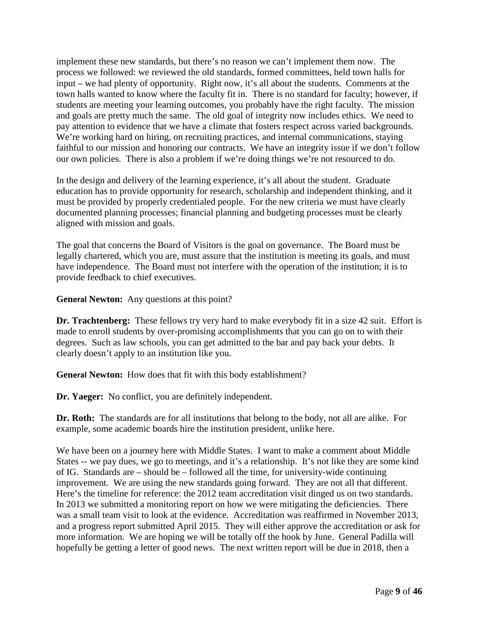implement these new standards, but there's no reason we can't implement them now. The process we followed: we reviewed the old standards, formed committees, held town halls for input – we had plenty of opportunity. Right now, it's all about the students. Comments at the town halls wanted to know where the faculty fit in. There is no standard for faculty; however, if students are meeting your learning outcomes, you probably have the right faculty. The mission and goals are pretty much the same. The old goal of integrity now includes ethics. We need to pay attention to evidence that we have a climate that fosters respect across varied backgrounds. We're working hard on hiring, on recruiting practices, and internal communications, staying faithful to our mission and honoring our contracts. We have an integrity issue if we don't follow our own policies. There is also a problem if we're doing things we're not resourced to do.

In the design and delivery of the learning experience, it's all about the student. Graduate education has to provide opportunity for research, scholarship and independent thinking, and it must be provided by properly credentialed people. For the new criteria we must have clearly documented planning processes; financial planning and budgeting processes must be clearly aligned with mission and goals.

The goal that concerns the Board of Visitors is the goal on governance. The Board must be legally chartered, which you are, must assure that the institution is meeting its goals, and must have independence. The Board must not interfere with the operation of the institution; it is to provide feedback to chief executives.

**General Newton:** Any questions at this point?

**Dr. Trachtenberg:** These fellows try very hard to make everybody fit in a size 42 suit. Effort is made to enroll students by over-promising accomplishments that you can go on to with their degrees. Such as law schools, you can get admitted to the bar and pay back your debts. It clearly doesn't apply to an institution like you.

**General Newton:** How does that fit with this body establishment?

**Dr. Yaeger:** No conflict, you are definitely independent.

**Dr. Roth:** The standards are for all institutions that belong to the body, not all are alike. For example, some academic boards hire the institution president, unlike here.

We have been on a journey here with Middle States. I want to make a comment about Middle States -- we pay dues, we go to meetings, and it's a relationship. It's not like they are some kind of IG. Standards are – should be – followed all the time, for university-wide continuing improvement. We are using the new standards going forward. They are not all that different. Here's the timeline for reference: the 2012 team accreditation visit dinged us on two standards. In 2013 we submitted a monitoring report on how we were mitigating the deficiencies. There was a small team visit to look at the evidence. Accreditation was reaffirmed in November 2013, and a progress report submitted April 2015. They will either approve the accreditation or ask for more information. We are hoping we will be totally off the hook by June. General Padilla will hopefully be getting a letter of good news. The next written report will be due in 2018, then a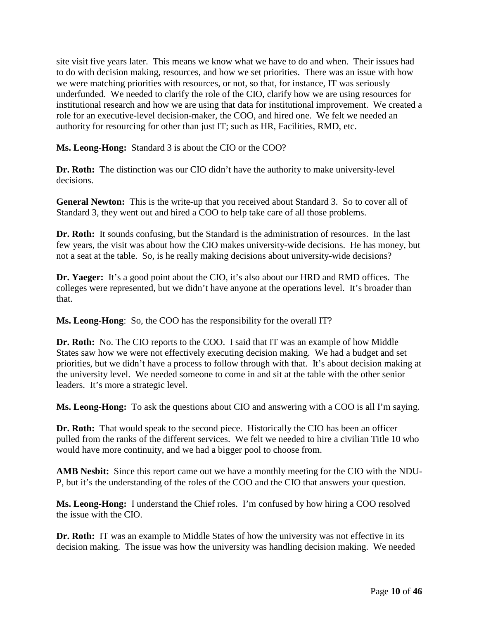site visit five years later. This means we know what we have to do and when. Their issues had to do with decision making, resources, and how we set priorities. There was an issue with how we were matching priorities with resources, or not, so that, for instance, IT was seriously underfunded. We needed to clarify the role of the CIO, clarify how we are using resources for institutional research and how we are using that data for institutional improvement. We created a role for an executive-level decision-maker, the COO, and hired one. We felt we needed an authority for resourcing for other than just IT; such as HR, Facilities, RMD, etc.

**Ms. Leong-Hong:** Standard 3 is about the CIO or the COO?

**Dr. Roth:** The distinction was our CIO didn't have the authority to make university-level decisions.

**General Newton:** This is the write-up that you received about Standard 3. So to cover all of Standard 3, they went out and hired a COO to help take care of all those problems.

**Dr. Roth:** It sounds confusing, but the Standard is the administration of resources. In the last few years, the visit was about how the CIO makes university-wide decisions. He has money, but not a seat at the table. So, is he really making decisions about university-wide decisions?

**Dr. Yaeger:** It's a good point about the CIO, it's also about our HRD and RMD offices. The colleges were represented, but we didn't have anyone at the operations level. It's broader than that.

**Ms. Leong-Hong**: So, the COO has the responsibility for the overall IT?

**Dr. Roth:** No. The CIO reports to the COO. I said that IT was an example of how Middle States saw how we were not effectively executing decision making. We had a budget and set priorities, but we didn't have a process to follow through with that. It's about decision making at the university level. We needed someone to come in and sit at the table with the other senior leaders. It's more a strategic level.

**Ms. Leong-Hong:** To ask the questions about CIO and answering with a COO is all I'm saying.

**Dr. Roth:** That would speak to the second piece. Historically the CIO has been an officer pulled from the ranks of the different services. We felt we needed to hire a civilian Title 10 who would have more continuity, and we had a bigger pool to choose from.

**AMB Nesbit:** Since this report came out we have a monthly meeting for the CIO with the NDU-P, but it's the understanding of the roles of the COO and the CIO that answers your question.

**Ms. Leong-Hong:** I understand the Chief roles. I'm confused by how hiring a COO resolved the issue with the CIO.

**Dr. Roth:** IT was an example to Middle States of how the university was not effective in its decision making. The issue was how the university was handling decision making. We needed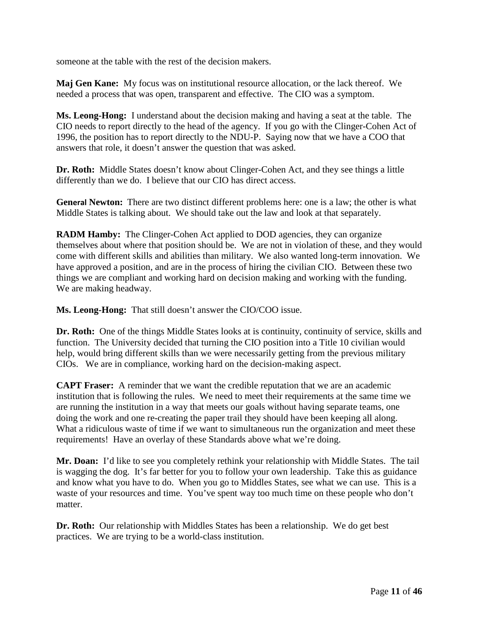someone at the table with the rest of the decision makers.

**Maj Gen Kane:** My focus was on institutional resource allocation, or the lack thereof. We needed a process that was open, transparent and effective. The CIO was a symptom.

**Ms. Leong-Hong:** I understand about the decision making and having a seat at the table. The CIO needs to report directly to the head of the agency. If you go with the Clinger-Cohen Act of 1996, the position has to report directly to the NDU-P. Saying now that we have a COO that answers that role, it doesn't answer the question that was asked.

**Dr. Roth:** Middle States doesn't know about Clinger-Cohen Act, and they see things a little differently than we do. I believe that our CIO has direct access.

**General Newton:** There are two distinct different problems here: one is a law; the other is what Middle States is talking about. We should take out the law and look at that separately.

**RADM Hamby:** The Clinger-Cohen Act applied to DOD agencies, they can organize themselves about where that position should be. We are not in violation of these, and they would come with different skills and abilities than military. We also wanted long-term innovation. We have approved a position, and are in the process of hiring the civilian CIO. Between these two things we are compliant and working hard on decision making and working with the funding. We are making headway.

**Ms. Leong-Hong:** That still doesn't answer the CIO/COO issue.

**Dr. Roth:** One of the things Middle States looks at is continuity, continuity of service, skills and function. The University decided that turning the CIO position into a Title 10 civilian would help, would bring different skills than we were necessarily getting from the previous military CIOs. We are in compliance, working hard on the decision-making aspect.

**CAPT Fraser:** A reminder that we want the credible reputation that we are an academic institution that is following the rules. We need to meet their requirements at the same time we are running the institution in a way that meets our goals without having separate teams, one doing the work and one re-creating the paper trail they should have been keeping all along. What a ridiculous waste of time if we want to simultaneous run the organization and meet these requirements! Have an overlay of these Standards above what we're doing.

**Mr. Doan:** I'd like to see you completely rethink your relationship with Middle States. The tail is wagging the dog. It's far better for you to follow your own leadership. Take this as guidance and know what you have to do. When you go to Middles States, see what we can use. This is a waste of your resources and time. You've spent way too much time on these people who don't matter.

**Dr. Roth:** Our relationship with Middles States has been a relationship. We do get best practices. We are trying to be a world-class institution.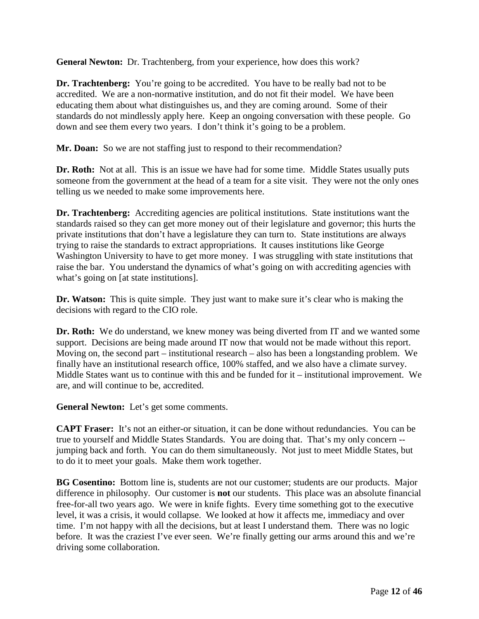**General Newton:** Dr. Trachtenberg, from your experience, how does this work?

**Dr. Trachtenberg:** You're going to be accredited. You have to be really bad not to be accredited. We are a non-normative institution, and do not fit their model. We have been educating them about what distinguishes us, and they are coming around. Some of their standards do not mindlessly apply here. Keep an ongoing conversation with these people. Go down and see them every two years. I don't think it's going to be a problem.

**Mr. Doan:** So we are not staffing just to respond to their recommendation?

**Dr. Roth:** Not at all. This is an issue we have had for some time. Middle States usually puts someone from the government at the head of a team for a site visit. They were not the only ones telling us we needed to make some improvements here.

**Dr. Trachtenberg:** Accrediting agencies are political institutions. State institutions want the standards raised so they can get more money out of their legislature and governor; this hurts the private institutions that don't have a legislature they can turn to. State institutions are always trying to raise the standards to extract appropriations. It causes institutions like George Washington University to have to get more money. I was struggling with state institutions that raise the bar. You understand the dynamics of what's going on with accrediting agencies with what's going on [at state institutions].

**Dr. Watson:** This is quite simple. They just want to make sure it's clear who is making the decisions with regard to the CIO role.

**Dr. Roth:** We do understand, we knew money was being diverted from IT and we wanted some support. Decisions are being made around IT now that would not be made without this report. Moving on, the second part – institutional research – also has been a longstanding problem. We finally have an institutional research office, 100% staffed, and we also have a climate survey. Middle States want us to continue with this and be funded for it – institutional improvement. We are, and will continue to be, accredited.

**General Newton:** Let's get some comments.

**CAPT Fraser:** It's not an either-or situation, it can be done without redundancies. You can be true to yourself and Middle States Standards. You are doing that. That's my only concern - jumping back and forth. You can do them simultaneously. Not just to meet Middle States, but to do it to meet your goals. Make them work together.

**BG Cosentino:** Bottom line is, students are not our customer; students are our products. Major difference in philosophy. Our customer is **not** our students. This place was an absolute financial free-for-all two years ago. We were in knife fights. Every time something got to the executive level, it was a crisis, it would collapse. We looked at how it affects me, immediacy and over time. I'm not happy with all the decisions, but at least I understand them. There was no logic before. It was the craziest I've ever seen. We're finally getting our arms around this and we're driving some collaboration.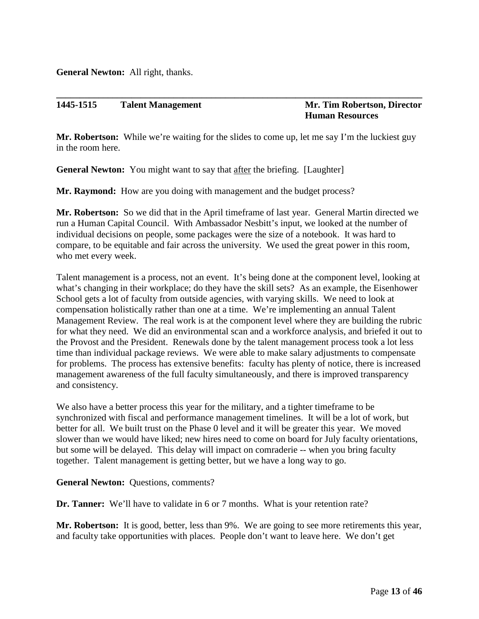**General Newton:** All right, thanks.

#### **1445-1515 Talent Management Mr. Tim Robertson, Director**

## **Human Resources**

**Mr. Robertson:** While we're waiting for the slides to come up, let me say I'm the luckiest guy in the room here.

**\_\_\_\_\_\_\_\_\_\_\_\_\_\_\_\_\_\_\_\_\_\_\_\_\_\_\_\_\_\_\_\_\_\_\_\_\_\_\_\_\_\_\_\_\_\_\_\_\_\_\_\_\_\_\_\_\_\_\_\_\_\_\_\_\_\_\_\_\_\_\_\_\_\_\_\_\_\_**

**General Newton:** You might want to say that after the briefing. [Laughter]

**Mr. Raymond:** How are you doing with management and the budget process?

**Mr. Robertson:** So we did that in the April timeframe of last year. General Martin directed we run a Human Capital Council. With Ambassador Nesbitt's input, we looked at the number of individual decisions on people, some packages were the size of a notebook. It was hard to compare, to be equitable and fair across the university. We used the great power in this room, who met every week.

Talent management is a process, not an event. It's being done at the component level, looking at what's changing in their workplace; do they have the skill sets? As an example, the Eisenhower School gets a lot of faculty from outside agencies, with varying skills. We need to look at compensation holistically rather than one at a time. We're implementing an annual Talent Management Review. The real work is at the component level where they are building the rubric for what they need. We did an environmental scan and a workforce analysis, and briefed it out to the Provost and the President. Renewals done by the talent management process took a lot less time than individual package reviews. We were able to make salary adjustments to compensate for problems. The process has extensive benefits: faculty has plenty of notice, there is increased management awareness of the full faculty simultaneously, and there is improved transparency and consistency.

We also have a better process this year for the military, and a tighter timeframe to be synchronized with fiscal and performance management timelines. It will be a lot of work, but better for all. We built trust on the Phase 0 level and it will be greater this year. We moved slower than we would have liked; new hires need to come on board for July faculty orientations, but some will be delayed. This delay will impact on comraderie -- when you bring faculty together. Talent management is getting better, but we have a long way to go.

**General Newton:** Questions, comments?

**Dr. Tanner:** We'll have to validate in 6 or 7 months. What is your retention rate?

**Mr. Robertson:** It is good, better, less than 9%. We are going to see more retirements this year, and faculty take opportunities with places. People don't want to leave here. We don't get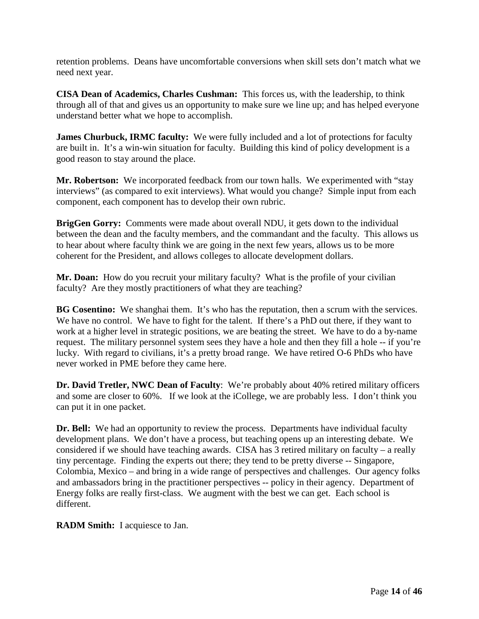retention problems. Deans have uncomfortable conversions when skill sets don't match what we need next year.

**CISA Dean of Academics, Charles Cushman:** This forces us, with the leadership, to think through all of that and gives us an opportunity to make sure we line up; and has helped everyone understand better what we hope to accomplish.

**James Churbuck, IRMC faculty:** We were fully included and a lot of protections for faculty are built in. It's a win-win situation for faculty. Building this kind of policy development is a good reason to stay around the place.

**Mr. Robertson:** We incorporated feedback from our town halls. We experimented with "stay interviews" (as compared to exit interviews). What would you change? Simple input from each component, each component has to develop their own rubric.

**BrigGen Gorry:** Comments were made about overall NDU, it gets down to the individual between the dean and the faculty members, and the commandant and the faculty. This allows us to hear about where faculty think we are going in the next few years, allows us to be more coherent for the President, and allows colleges to allocate development dollars.

**Mr. Doan:** How do you recruit your military faculty? What is the profile of your civilian faculty? Are they mostly practitioners of what they are teaching?

**BG Cosentino:** We shanghai them. It's who has the reputation, then a scrum with the services. We have no control. We have to fight for the talent. If there's a PhD out there, if they want to work at a higher level in strategic positions, we are beating the street. We have to do a by-name request. The military personnel system sees they have a hole and then they fill a hole -- if you're lucky. With regard to civilians, it's a pretty broad range. We have retired O-6 PhDs who have never worked in PME before they came here.

**Dr. David Tretler, NWC Dean of Faculty**: We're probably about 40% retired military officers and some are closer to 60%. If we look at the iCollege, we are probably less. I don't think you can put it in one packet.

**Dr. Bell:** We had an opportunity to review the process. Departments have individual faculty development plans. We don't have a process, but teaching opens up an interesting debate. We considered if we should have teaching awards. CISA has 3 retired military on faculty – a really tiny percentage. Finding the experts out there; they tend to be pretty diverse -- Singapore, Colombia, Mexico – and bring in a wide range of perspectives and challenges. Our agency folks and ambassadors bring in the practitioner perspectives -- policy in their agency. Department of Energy folks are really first-class. We augment with the best we can get. Each school is different.

**RADM Smith:** I acquiesce to Jan.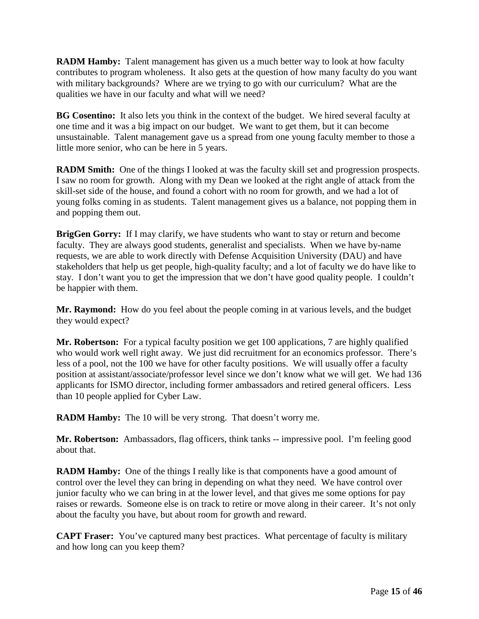**RADM Hamby:** Talent management has given us a much better way to look at how faculty contributes to program wholeness. It also gets at the question of how many faculty do you want with military backgrounds? Where are we trying to go with our curriculum? What are the qualities we have in our faculty and what will we need?

**BG Cosentino:** It also lets you think in the context of the budget. We hired several faculty at one time and it was a big impact on our budget. We want to get them, but it can become unsustainable. Talent management gave us a spread from one young faculty member to those a little more senior, who can be here in 5 years.

**RADM Smith:** One of the things I looked at was the faculty skill set and progression prospects. I saw no room for growth. Along with my Dean we looked at the right angle of attack from the skill-set side of the house, and found a cohort with no room for growth, and we had a lot of young folks coming in as students. Talent management gives us a balance, not popping them in and popping them out.

**BrigGen Gorry:** If I may clarify, we have students who want to stay or return and become faculty. They are always good students, generalist and specialists. When we have by-name requests, we are able to work directly with Defense Acquisition University (DAU) and have stakeholders that help us get people, high-quality faculty; and a lot of faculty we do have like to stay. I don't want you to get the impression that we don't have good quality people. I couldn't be happier with them.

**Mr. Raymond:** How do you feel about the people coming in at various levels, and the budget they would expect?

**Mr. Robertson:** For a typical faculty position we get 100 applications, 7 are highly qualified who would work well right away. We just did recruitment for an economics professor. There's less of a pool, not the 100 we have for other faculty positions. We will usually offer a faculty position at assistant/associate/professor level since we don't know what we will get. We had 136 applicants for ISMO director, including former ambassadors and retired general officers. Less than 10 people applied for Cyber Law.

**RADM Hamby:** The 10 will be very strong. That doesn't worry me.

**Mr. Robertson:** Ambassadors, flag officers, think tanks -- impressive pool. I'm feeling good about that.

**RADM Hamby:** One of the things I really like is that components have a good amount of control over the level they can bring in depending on what they need. We have control over junior faculty who we can bring in at the lower level, and that gives me some options for pay raises or rewards. Someone else is on track to retire or move along in their career. It's not only about the faculty you have, but about room for growth and reward.

**CAPT Fraser:** You've captured many best practices. What percentage of faculty is military and how long can you keep them?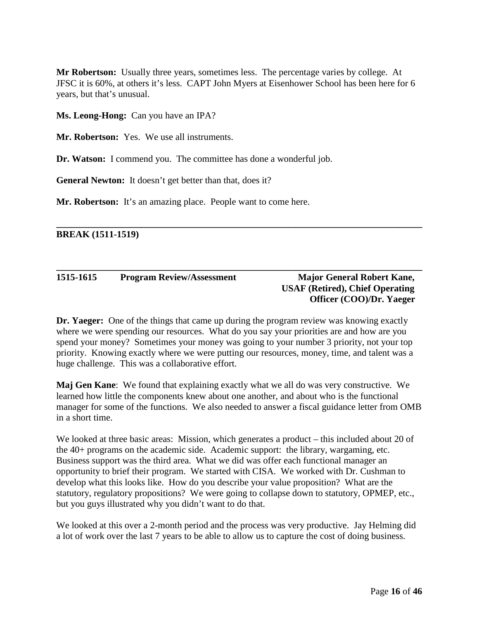**Mr Robertson:** Usually three years, sometimes less. The percentage varies by college. At JFSC it is 60%, at others it's less. CAPT John Myers at Eisenhower School has been here for 6 years, but that's unusual.

**Ms. Leong-Hong:** Can you have an IPA?

**Mr. Robertson:** Yes. We use all instruments.

**Dr. Watson:** I commend you. The committee has done a wonderful job.

**General Newton:** It doesn't get better than that, does it?

**Mr. Robertson:** It's an amazing place. People want to come here.

**BREAK (1511-1519)**

#### **1515-1615 Program Review/Assessment Major General Robert Kane,**

### **USAF (Retired), Chief Operating Officer (COO)/Dr. Yaeger**

**Dr. Yaeger:** One of the things that came up during the program review was knowing exactly where we were spending our resources. What do you say your priorities are and how are you spend your money? Sometimes your money was going to your number 3 priority, not your top priority. Knowing exactly where we were putting our resources, money, time, and talent was a huge challenge. This was a collaborative effort.

**\_\_\_\_\_\_\_\_\_\_\_\_\_\_\_\_\_\_\_\_\_\_\_\_\_\_\_\_\_\_\_\_\_\_\_\_\_\_\_\_\_\_\_\_\_\_\_\_\_\_\_\_\_\_\_\_\_\_\_\_\_\_\_\_\_\_\_\_\_\_\_\_\_\_\_\_\_\_**

**\_\_\_\_\_\_\_\_\_\_\_\_\_\_\_\_\_\_\_\_\_\_\_\_\_\_\_\_\_\_\_\_\_\_\_\_\_\_\_\_\_\_\_\_\_\_\_\_\_\_\_\_\_\_\_\_\_\_\_\_\_\_\_\_\_\_\_\_\_\_\_\_\_\_\_\_\_\_**

**Maj Gen Kane**: We found that explaining exactly what we all do was very constructive. We learned how little the components knew about one another, and about who is the functional manager for some of the functions. We also needed to answer a fiscal guidance letter from OMB in a short time.

We looked at three basic areas: Mission, which generates a product – this included about 20 of the 40+ programs on the academic side. Academic support: the library, wargaming, etc. Business support was the third area. What we did was offer each functional manager an opportunity to brief their program. We started with CISA. We worked with Dr. Cushman to develop what this looks like. How do you describe your value proposition? What are the statutory, regulatory propositions? We were going to collapse down to statutory, OPMEP, etc., but you guys illustrated why you didn't want to do that.

We looked at this over a 2-month period and the process was very productive. Jay Helming did a lot of work over the last 7 years to be able to allow us to capture the cost of doing business.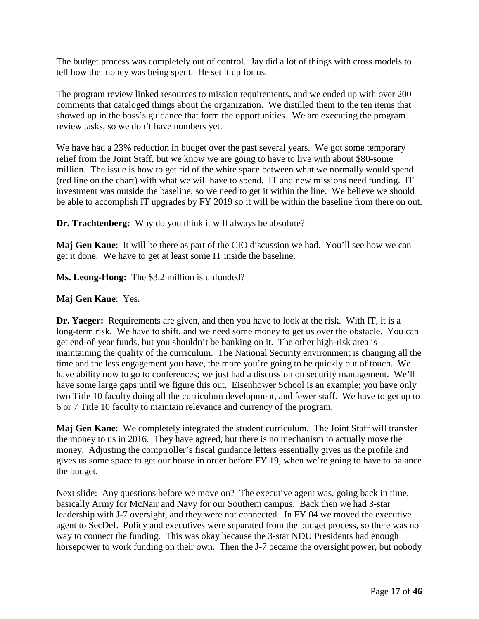The budget process was completely out of control. Jay did a lot of things with cross models to tell how the money was being spent. He set it up for us.

The program review linked resources to mission requirements, and we ended up with over 200 comments that cataloged things about the organization. We distilled them to the ten items that showed up in the boss's guidance that form the opportunities. We are executing the program review tasks, so we don't have numbers yet.

We have had a 23% reduction in budget over the past several years. We got some temporary relief from the Joint Staff, but we know we are going to have to live with about \$80-some million. The issue is how to get rid of the white space between what we normally would spend (red line on the chart) with what we will have to spend. IT and new missions need funding. IT investment was outside the baseline, so we need to get it within the line. We believe we should be able to accomplish IT upgrades by FY 2019 so it will be within the baseline from there on out.

**Dr. Trachtenberg:** Why do you think it will always be absolute?

**Maj Gen Kane**: It will be there as part of the CIO discussion we had. You'll see how we can get it done. We have to get at least some IT inside the baseline.

**Ms. Leong-Hong:** The \$3.2 million is unfunded?

#### **Maj Gen Kane**: Yes.

**Dr. Yaeger:** Requirements are given, and then you have to look at the risk. With IT, it is a long-term risk. We have to shift, and we need some money to get us over the obstacle. You can get end-of-year funds, but you shouldn't be banking on it. The other high-risk area is maintaining the quality of the curriculum. The National Security environment is changing all the time and the less engagement you have, the more you're going to be quickly out of touch. We have ability now to go to conferences; we just had a discussion on security management. We'll have some large gaps until we figure this out. Eisenhower School is an example; you have only two Title 10 faculty doing all the curriculum development, and fewer staff. We have to get up to 6 or 7 Title 10 faculty to maintain relevance and currency of the program.

**Maj Gen Kane**: We completely integrated the student curriculum. The Joint Staff will transfer the money to us in 2016. They have agreed, but there is no mechanism to actually move the money. Adjusting the comptroller's fiscal guidance letters essentially gives us the profile and gives us some space to get our house in order before FY 19, when we're going to have to balance the budget.

Next slide: Any questions before we move on? The executive agent was, going back in time, basically Army for McNair and Navy for our Southern campus. Back then we had 3-star leadership with J-7 oversight, and they were not connected. In FY 04 we moved the executive agent to SecDef. Policy and executives were separated from the budget process, so there was no way to connect the funding. This was okay because the 3-star NDU Presidents had enough horsepower to work funding on their own. Then the J-7 became the oversight power, but nobody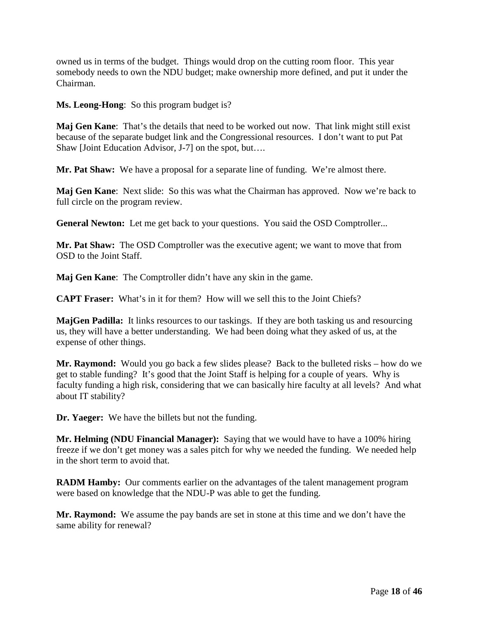owned us in terms of the budget. Things would drop on the cutting room floor. This year somebody needs to own the NDU budget; make ownership more defined, and put it under the Chairman.

**Ms. Leong-Hong**: So this program budget is?

**Maj Gen Kane**: That's the details that need to be worked out now. That link might still exist because of the separate budget link and the Congressional resources. I don't want to put Pat Shaw [Joint Education Advisor, J-7] on the spot, but….

**Mr. Pat Shaw:** We have a proposal for a separate line of funding. We're almost there.

**Maj Gen Kane**: Next slide: So this was what the Chairman has approved. Now we're back to full circle on the program review.

**General Newton:** Let me get back to your questions. You said the OSD Comptroller...

**Mr. Pat Shaw:** The OSD Comptroller was the executive agent; we want to move that from OSD to the Joint Staff.

**Maj Gen Kane**: The Comptroller didn't have any skin in the game.

**CAPT Fraser:** What's in it for them? How will we sell this to the Joint Chiefs?

**MajGen Padilla:** It links resources to our taskings. If they are both tasking us and resourcing us, they will have a better understanding. We had been doing what they asked of us, at the expense of other things.

**Mr. Raymond:** Would you go back a few slides please? Back to the bulleted risks – how do we get to stable funding? It's good that the Joint Staff is helping for a couple of years. Why is faculty funding a high risk, considering that we can basically hire faculty at all levels? And what about IT stability?

**Dr. Yaeger:** We have the billets but not the funding.

**Mr. Helming (NDU Financial Manager):** Saying that we would have to have a 100% hiring freeze if we don't get money was a sales pitch for why we needed the funding. We needed help in the short term to avoid that.

**RADM Hamby:** Our comments earlier on the advantages of the talent management program were based on knowledge that the NDU-P was able to get the funding.

**Mr. Raymond:** We assume the pay bands are set in stone at this time and we don't have the same ability for renewal?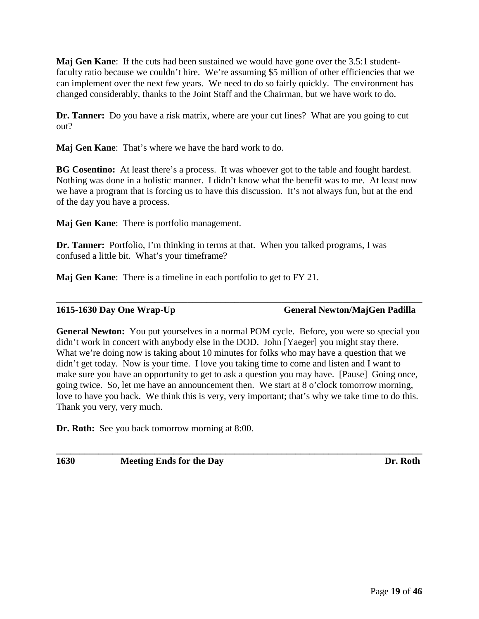**Maj Gen Kane**: If the cuts had been sustained we would have gone over the 3.5:1 studentfaculty ratio because we couldn't hire. We're assuming \$5 million of other efficiencies that we can implement over the next few years. We need to do so fairly quickly. The environment has changed considerably, thanks to the Joint Staff and the Chairman, but we have work to do.

**Dr. Tanner:** Do you have a risk matrix, where are your cut lines? What are you going to cut out?

**Maj Gen Kane**: That's where we have the hard work to do.

**BG Cosentino:** At least there's a process. It was whoever got to the table and fought hardest. Nothing was done in a holistic manner. I didn't know what the benefit was to me. At least now we have a program that is forcing us to have this discussion. It's not always fun, but at the end of the day you have a process.

**Maj Gen Kane**: There is portfolio management.

**Dr. Tanner:** Portfolio, I'm thinking in terms at that. When you talked programs, I was confused a little bit. What's your timeframe?

**Maj Gen Kane**: There is a timeline in each portfolio to get to FY 21.

**1615-1630 Day One Wrap-Up General Newton/MajGen Padilla**

**General Newton:** You put yourselves in a normal POM cycle. Before, you were so special you didn't work in concert with anybody else in the DOD. John [Yaeger] you might stay there. What we're doing now is taking about 10 minutes for folks who may have a question that we didn't get today. Now is your time. I love you taking time to come and listen and I want to make sure you have an opportunity to get to ask a question you may have. [Pause] Going once, going twice. So, let me have an announcement then. We start at 8 o'clock tomorrow morning, love to have you back. We think this is very, very important; that's why we take time to do this. Thank you very, very much.

**\_\_\_\_\_\_\_\_\_\_\_\_\_\_\_\_\_\_\_\_\_\_\_\_\_\_\_\_\_\_\_\_\_\_\_\_\_\_\_\_\_\_\_\_\_\_\_\_\_\_\_\_\_\_\_\_\_\_\_\_\_\_\_\_\_\_\_\_\_\_\_\_\_\_\_\_\_\_**

\_\_\_\_\_\_\_\_\_\_\_\_\_\_\_\_\_\_\_\_\_\_\_\_\_\_\_\_\_\_\_\_\_\_\_\_\_\_\_\_\_\_\_\_\_\_\_\_\_\_\_\_\_\_\_\_\_\_\_\_\_\_\_\_\_\_\_\_\_\_\_\_\_\_\_\_\_\_

**Dr. Roth:** See you back tomorrow morning at 8:00.

**1630 Meeting Ends for the Day Dr. Roth**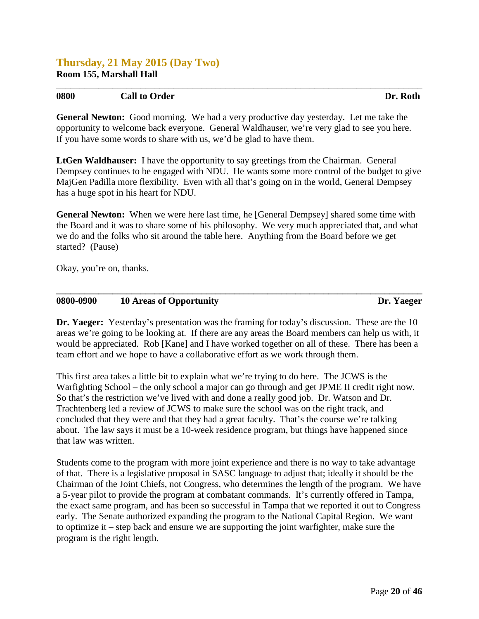#### **Thursday, 21 May 2015 (Day Two) Room 155, Marshall Hall**

#### **0800 Call to Order Dr. Roth**

**General Newton:** Good morning. We had a very productive day yesterday. Let me take the opportunity to welcome back everyone. General Waldhauser, we're very glad to see you here. If you have some words to share with us, we'd be glad to have them.

*\_\_\_\_\_\_\_\_\_\_\_\_\_\_\_\_\_\_\_\_\_\_\_\_\_\_\_\_\_\_\_\_\_\_\_\_\_\_\_\_\_\_\_\_\_\_\_\_\_\_\_\_\_\_\_\_\_\_\_\_\_\_\_\_\_\_\_\_\_\_\_\_\_\_\_\_\_\_*

**LtGen Waldhauser:** I have the opportunity to say greetings from the Chairman. General Dempsey continues to be engaged with NDU. He wants some more control of the budget to give MajGen Padilla more flexibility. Even with all that's going on in the world, General Dempsey has a huge spot in his heart for NDU.

**General Newton:** When we were here last time, he [General Dempsey] shared some time with the Board and it was to share some of his philosophy. We very much appreciated that, and what we do and the folks who sit around the table here. Anything from the Board before we get started? (Pause)

Okay, you're on, thanks.

#### **0800-0900 10 Areas of Opportunity Dr. Yaeger**

**Dr. Yaeger:** Yesterday's presentation was the framing for today's discussion. These are the 10 areas we're going to be looking at. If there are any areas the Board members can help us with, it would be appreciated. Rob [Kane] and I have worked together on all of these. There has been a team effort and we hope to have a collaborative effort as we work through them.

**\_\_\_\_\_\_\_\_\_\_\_\_\_\_\_\_\_\_\_\_\_\_\_\_\_\_\_\_\_\_\_\_\_\_\_\_\_\_\_\_\_\_\_\_\_\_\_\_\_\_\_\_\_\_\_\_\_\_\_\_\_\_\_\_\_\_\_\_\_\_\_\_\_\_\_\_\_\_**

This first area takes a little bit to explain what we're trying to do here. The JCWS is the Warfighting School – the only school a major can go through and get JPME II credit right now. So that's the restriction we've lived with and done a really good job. Dr. Watson and Dr. Trachtenberg led a review of JCWS to make sure the school was on the right track, and concluded that they were and that they had a great faculty. That's the course we're talking about. The law says it must be a 10-week residence program, but things have happened since that law was written.

Students come to the program with more joint experience and there is no way to take advantage of that. There is a legislative proposal in SASC language to adjust that; ideally it should be the Chairman of the Joint Chiefs, not Congress, who determines the length of the program. We have a 5-year pilot to provide the program at combatant commands. It's currently offered in Tampa, the exact same program, and has been so successful in Tampa that we reported it out to Congress early. The Senate authorized expanding the program to the National Capital Region. We want to optimize it – step back and ensure we are supporting the joint warfighter, make sure the program is the right length.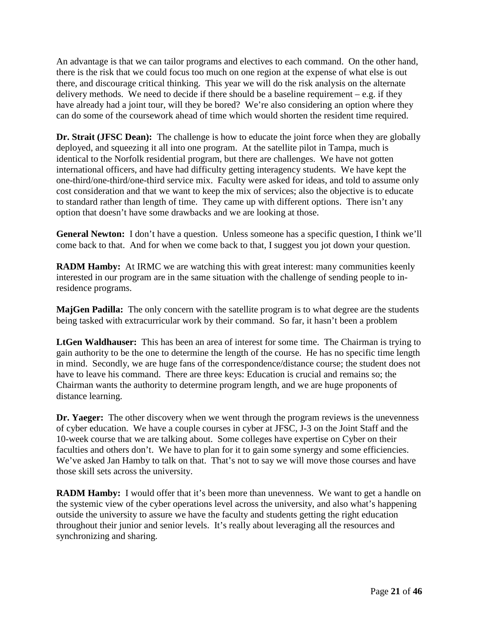An advantage is that we can tailor programs and electives to each command. On the other hand, there is the risk that we could focus too much on one region at the expense of what else is out there, and discourage critical thinking. This year we will do the risk analysis on the alternate delivery methods. We need to decide if there should be a baseline requirement  $-e.g.$  if they have already had a joint tour, will they be bored? We're also considering an option where they can do some of the coursework ahead of time which would shorten the resident time required.

**Dr. Strait (JFSC Dean):** The challenge is how to educate the joint force when they are globally deployed, and squeezing it all into one program. At the satellite pilot in Tampa, much is identical to the Norfolk residential program, but there are challenges. We have not gotten international officers, and have had difficulty getting interagency students. We have kept the one-third/one-third/one-third service mix. Faculty were asked for ideas, and told to assume only cost consideration and that we want to keep the mix of services; also the objective is to educate to standard rather than length of time. They came up with different options. There isn't any option that doesn't have some drawbacks and we are looking at those.

**General Newton:** I don't have a question. Unless someone has a specific question, I think we'll come back to that. And for when we come back to that, I suggest you jot down your question.

**RADM Hamby:** At IRMC we are watching this with great interest: many communities keenly interested in our program are in the same situation with the challenge of sending people to inresidence programs.

**MajGen Padilla:** The only concern with the satellite program is to what degree are the students being tasked with extracurricular work by their command. So far, it hasn't been a problem

**LtGen Waldhauser:** This has been an area of interest for some time. The Chairman is trying to gain authority to be the one to determine the length of the course. He has no specific time length in mind. Secondly, we are huge fans of the correspondence/distance course; the student does not have to leave his command. There are three keys: Education is crucial and remains so; the Chairman wants the authority to determine program length, and we are huge proponents of distance learning.

**Dr. Yaeger:** The other discovery when we went through the program reviews is the unevenness of cyber education. We have a couple courses in cyber at JFSC, J-3 on the Joint Staff and the 10-week course that we are talking about. Some colleges have expertise on Cyber on their faculties and others don't. We have to plan for it to gain some synergy and some efficiencies. We've asked Jan Hamby to talk on that. That's not to say we will move those courses and have those skill sets across the university.

**RADM Hamby:** I would offer that it's been more than unevenness. We want to get a handle on the systemic view of the cyber operations level across the university, and also what's happening outside the university to assure we have the faculty and students getting the right education throughout their junior and senior levels. It's really about leveraging all the resources and synchronizing and sharing.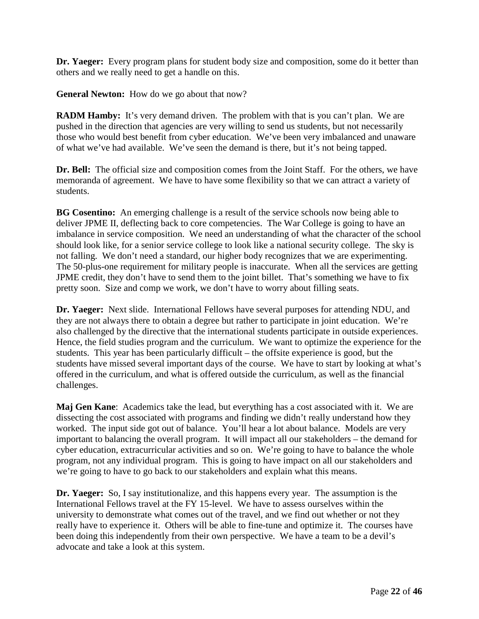**Dr. Yaeger:** Every program plans for student body size and composition, some do it better than others and we really need to get a handle on this.

**General Newton:** How do we go about that now?

**RADM Hamby:** It's very demand driven. The problem with that is you can't plan. We are pushed in the direction that agencies are very willing to send us students, but not necessarily those who would best benefit from cyber education. We've been very imbalanced and unaware of what we've had available. We've seen the demand is there, but it's not being tapped.

**Dr. Bell:** The official size and composition comes from the Joint Staff. For the others, we have memoranda of agreement. We have to have some flexibility so that we can attract a variety of students.

**BG Cosentino:** An emerging challenge is a result of the service schools now being able to deliver JPME II, deflecting back to core competencies. The War College is going to have an imbalance in service composition. We need an understanding of what the character of the school should look like, for a senior service college to look like a national security college. The sky is not falling. We don't need a standard, our higher body recognizes that we are experimenting. The 50-plus-one requirement for military people is inaccurate. When all the services are getting JPME credit, they don't have to send them to the joint billet. That's something we have to fix pretty soon. Size and comp we work, we don't have to worry about filling seats.

**Dr. Yaeger:** Next slide. International Fellows have several purposes for attending NDU, and they are not always there to obtain a degree but rather to participate in joint education. We're also challenged by the directive that the international students participate in outside experiences. Hence, the field studies program and the curriculum. We want to optimize the experience for the students. This year has been particularly difficult – the offsite experience is good, but the students have missed several important days of the course. We have to start by looking at what's offered in the curriculum, and what is offered outside the curriculum, as well as the financial challenges.

**Maj Gen Kane**: Academics take the lead, but everything has a cost associated with it. We are dissecting the cost associated with programs and finding we didn't really understand how they worked. The input side got out of balance. You'll hear a lot about balance. Models are very important to balancing the overall program. It will impact all our stakeholders – the demand for cyber education, extracurricular activities and so on. We're going to have to balance the whole program, not any individual program. This is going to have impact on all our stakeholders and we're going to have to go back to our stakeholders and explain what this means.

**Dr. Yaeger:** So, I say institutionalize, and this happens every year. The assumption is the International Fellows travel at the FY 15-level. We have to assess ourselves within the university to demonstrate what comes out of the travel, and we find out whether or not they really have to experience it. Others will be able to fine-tune and optimize it. The courses have been doing this independently from their own perspective. We have a team to be a devil's advocate and take a look at this system.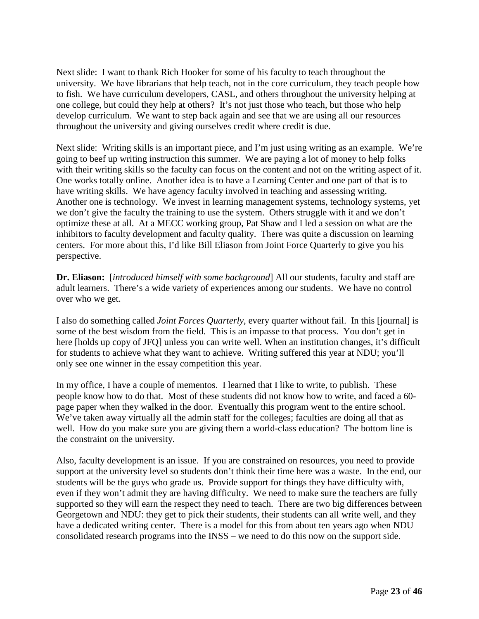Next slide: I want to thank Rich Hooker for some of his faculty to teach throughout the university. We have librarians that help teach, not in the core curriculum, they teach people how to fish. We have curriculum developers, CASL, and others throughout the university helping at one college, but could they help at others? It's not just those who teach, but those who help develop curriculum. We want to step back again and see that we are using all our resources throughout the university and giving ourselves credit where credit is due.

Next slide: Writing skills is an important piece, and I'm just using writing as an example. We're going to beef up writing instruction this summer. We are paying a lot of money to help folks with their writing skills so the faculty can focus on the content and not on the writing aspect of it. One works totally online. Another idea is to have a Learning Center and one part of that is to have writing skills. We have agency faculty involved in teaching and assessing writing. Another one is technology. We invest in learning management systems, technology systems, yet we don't give the faculty the training to use the system. Others struggle with it and we don't optimize these at all. At a MECC working group, Pat Shaw and I led a session on what are the inhibitors to faculty development and faculty quality. There was quite a discussion on learning centers. For more about this, I'd like Bill Eliason from Joint Force Quarterly to give you his perspective.

**Dr. Eliason:** [*introduced himself with some background*] All our students, faculty and staff are adult learners. There's a wide variety of experiences among our students. We have no control over who we get.

I also do something called *Joint Forces Quarterly*, every quarter without fail. In this [journal] is some of the best wisdom from the field. This is an impasse to that process. You don't get in here [holds up copy of JFQ] unless you can write well. When an institution changes, it's difficult for students to achieve what they want to achieve. Writing suffered this year at NDU; you'll only see one winner in the essay competition this year.

In my office, I have a couple of mementos. I learned that I like to write, to publish. These people know how to do that. Most of these students did not know how to write, and faced a 60 page paper when they walked in the door. Eventually this program went to the entire school. We've taken away virtually all the admin staff for the colleges; faculties are doing all that as well. How do you make sure you are giving them a world-class education? The bottom line is the constraint on the university.

Also, faculty development is an issue. If you are constrained on resources, you need to provide support at the university level so students don't think their time here was a waste. In the end, our students will be the guys who grade us. Provide support for things they have difficulty with, even if they won't admit they are having difficulty. We need to make sure the teachers are fully supported so they will earn the respect they need to teach. There are two big differences between Georgetown and NDU: they get to pick their students, their students can all write well, and they have a dedicated writing center. There is a model for this from about ten years ago when NDU consolidated research programs into the INSS – we need to do this now on the support side.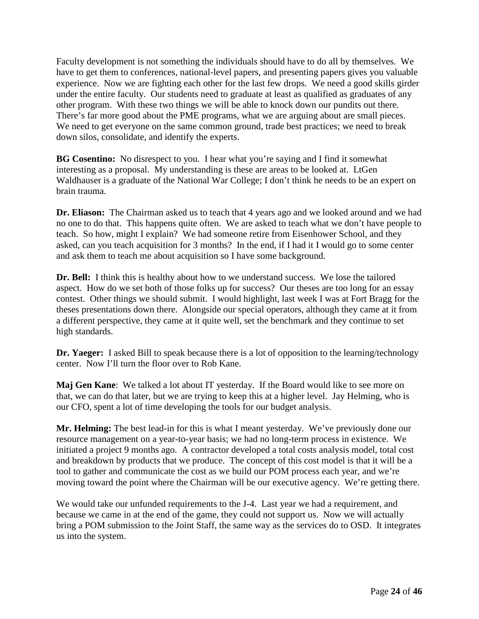Faculty development is not something the individuals should have to do all by themselves. We have to get them to conferences, national-level papers, and presenting papers gives you valuable experience. Now we are fighting each other for the last few drops. We need a good skills girder under the entire faculty. Our students need to graduate at least as qualified as graduates of any other program. With these two things we will be able to knock down our pundits out there. There's far more good about the PME programs, what we are arguing about are small pieces. We need to get everyone on the same common ground, trade best practices; we need to break down silos, consolidate, and identify the experts.

**BG Cosentino:** No disrespect to you. I hear what you're saying and I find it somewhat interesting as a proposal. My understanding is these are areas to be looked at. LtGen Waldhauser is a graduate of the National War College; I don't think he needs to be an expert on brain trauma.

**Dr. Eliason:** The Chairman asked us to teach that 4 years ago and we looked around and we had no one to do that. This happens quite often. We are asked to teach what we don't have people to teach. So how, might I explain? We had someone retire from Eisenhower School, and they asked, can you teach acquisition for 3 months? In the end, if I had it I would go to some center and ask them to teach me about acquisition so I have some background.

**Dr. Bell:** I think this is healthy about how to we understand success. We lose the tailored aspect. How do we set both of those folks up for success? Our theses are too long for an essay contest. Other things we should submit. I would highlight, last week I was at Fort Bragg for the theses presentations down there. Alongside our special operators, although they came at it from a different perspective, they came at it quite well, set the benchmark and they continue to set high standards.

**Dr. Yaeger:** I asked Bill to speak because there is a lot of opposition to the learning/technology center. Now I'll turn the floor over to Rob Kane.

**Maj Gen Kane**: We talked a lot about IT yesterday. If the Board would like to see more on that, we can do that later, but we are trying to keep this at a higher level. Jay Helming, who is our CFO, spent a lot of time developing the tools for our budget analysis.

**Mr. Helming:** The best lead-in for this is what I meant yesterday. We've previously done our resource management on a year-to-year basis; we had no long-term process in existence. We initiated a project 9 months ago. A contractor developed a total costs analysis model, total cost and breakdown by products that we produce. The concept of this cost model is that it will be a tool to gather and communicate the cost as we build our POM process each year, and we're moving toward the point where the Chairman will be our executive agency. We're getting there.

We would take our unfunded requirements to the J-4. Last year we had a requirement, and because we came in at the end of the game, they could not support us. Now we will actually bring a POM submission to the Joint Staff, the same way as the services do to OSD. It integrates us into the system.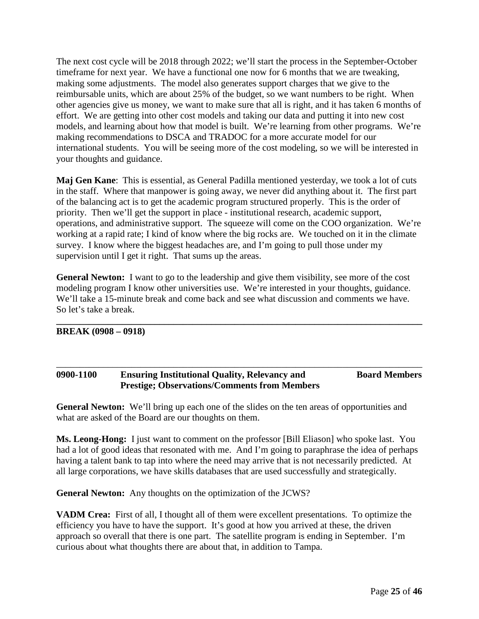The next cost cycle will be 2018 through 2022; we'll start the process in the September-October timeframe for next year. We have a functional one now for 6 months that we are tweaking, making some adjustments. The model also generates support charges that we give to the reimbursable units, which are about 25% of the budget, so we want numbers to be right. When other agencies give us money, we want to make sure that all is right, and it has taken 6 months of effort. We are getting into other cost models and taking our data and putting it into new cost models, and learning about how that model is built. We're learning from other programs. We're making recommendations to DSCA and TRADOC for a more accurate model for our international students. You will be seeing more of the cost modeling, so we will be interested in your thoughts and guidance.

**Maj Gen Kane**: This is essential, as General Padilla mentioned yesterday, we took a lot of cuts in the staff. Where that manpower is going away, we never did anything about it. The first part of the balancing act is to get the academic program structured properly. This is the order of priority. Then we'll get the support in place - institutional research, academic support, operations, and administrative support. The squeeze will come on the COO organization. We're working at a rapid rate; I kind of know where the big rocks are. We touched on it in the climate survey. I know where the biggest headaches are, and I'm going to pull those under my supervision until I get it right. That sums up the areas.

**General Newton:** I want to go to the leadership and give them visibility, see more of the cost modeling program I know other universities use. We're interested in your thoughts, guidance. We'll take a 15-minute break and come back and see what discussion and comments we have. So let's take a break.

**\_\_\_\_\_\_\_\_\_\_\_\_\_\_\_\_\_\_\_\_\_\_\_\_\_\_\_\_\_\_\_\_\_\_\_\_\_\_\_\_\_\_\_\_\_\_\_\_\_\_\_\_\_\_\_\_\_\_\_\_\_\_\_\_\_\_\_\_\_\_\_\_\_\_\_\_\_\_**

#### **BREAK (0908 – 0918)**

#### **0900-1100 Ensuring Institutional Quality, Relevancy and Board Members Prestige; Observations/Comments from Members**

\_\_\_\_\_\_\_\_\_\_\_\_\_\_\_\_\_\_\_\_\_\_\_\_\_\_\_\_\_\_\_\_\_\_\_\_\_\_\_\_\_\_\_\_\_\_\_\_\_\_\_\_\_\_\_\_\_\_\_\_\_\_\_\_\_\_\_\_\_\_\_\_\_\_\_\_\_\_

**General Newton:** We'll bring up each one of the slides on the ten areas of opportunities and what are asked of the Board are our thoughts on them.

**Ms. Leong-Hong:** I just want to comment on the professor [Bill Eliason] who spoke last. You had a lot of good ideas that resonated with me. And I'm going to paraphrase the idea of perhaps having a talent bank to tap into where the need may arrive that is not necessarily predicted. At all large corporations, we have skills databases that are used successfully and strategically.

**General Newton:** Any thoughts on the optimization of the JCWS?

**VADM Crea:** First of all, I thought all of them were excellent presentations. To optimize the efficiency you have to have the support. It's good at how you arrived at these, the driven approach so overall that there is one part. The satellite program is ending in September. I'm curious about what thoughts there are about that, in addition to Tampa.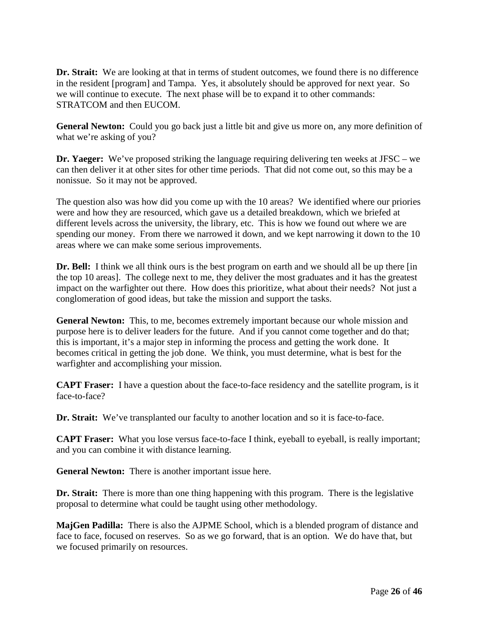**Dr. Strait:** We are looking at that in terms of student outcomes, we found there is no difference in the resident [program] and Tampa. Yes, it absolutely should be approved for next year. So we will continue to execute. The next phase will be to expand it to other commands: STRATCOM and then EUCOM.

**General Newton:** Could you go back just a little bit and give us more on, any more definition of what we're asking of you?

**Dr. Yaeger:** We've proposed striking the language requiring delivering ten weeks at JFSC – we can then deliver it at other sites for other time periods. That did not come out, so this may be a nonissue. So it may not be approved.

The question also was how did you come up with the 10 areas? We identified where our priories were and how they are resourced, which gave us a detailed breakdown, which we briefed at different levels across the university, the library, etc. This is how we found out where we are spending our money. From there we narrowed it down, and we kept narrowing it down to the 10 areas where we can make some serious improvements.

**Dr. Bell:** I think we all think ours is the best program on earth and we should all be up there [in the top 10 areas]. The college next to me, they deliver the most graduates and it has the greatest impact on the warfighter out there. How does this prioritize, what about their needs? Not just a conglomeration of good ideas, but take the mission and support the tasks.

**General Newton:** This, to me, becomes extremely important because our whole mission and purpose here is to deliver leaders for the future. And if you cannot come together and do that; this is important, it's a major step in informing the process and getting the work done. It becomes critical in getting the job done. We think, you must determine, what is best for the warfighter and accomplishing your mission.

**CAPT Fraser:** I have a question about the face-to-face residency and the satellite program, is it face-to-face?

**Dr. Strait:** We've transplanted our faculty to another location and so it is face-to-face.

**CAPT Fraser:** What you lose versus face-to-face I think, eyeball to eyeball, is really important; and you can combine it with distance learning.

**General Newton:** There is another important issue here.

**Dr. Strait:** There is more than one thing happening with this program. There is the legislative proposal to determine what could be taught using other methodology.

**MajGen Padilla:** There is also the AJPME School, which is a blended program of distance and face to face, focused on reserves. So as we go forward, that is an option. We do have that, but we focused primarily on resources.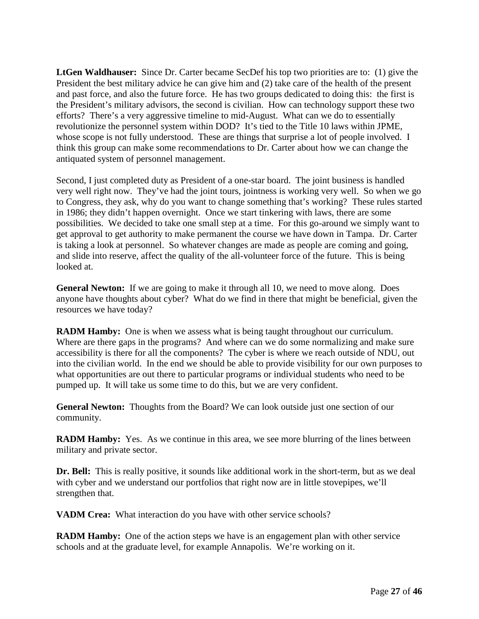**LtGen Waldhauser:** Since Dr. Carter became SecDef his top two priorities are to: (1) give the President the best military advice he can give him and (2) take care of the health of the present and past force, and also the future force. He has two groups dedicated to doing this: the first is the President's military advisors, the second is civilian. How can technology support these two efforts? There's a very aggressive timeline to mid-August. What can we do to essentially revolutionize the personnel system within DOD? It's tied to the Title 10 laws within JPME, whose scope is not fully understood. These are things that surprise a lot of people involved. I think this group can make some recommendations to Dr. Carter about how we can change the antiquated system of personnel management.

Second, I just completed duty as President of a one-star board. The joint business is handled very well right now. They've had the joint tours, jointness is working very well. So when we go to Congress, they ask, why do you want to change something that's working? These rules started in 1986; they didn't happen overnight. Once we start tinkering with laws, there are some possibilities. We decided to take one small step at a time. For this go-around we simply want to get approval to get authority to make permanent the course we have down in Tampa. Dr. Carter is taking a look at personnel. So whatever changes are made as people are coming and going, and slide into reserve, affect the quality of the all-volunteer force of the future. This is being looked at.

**General Newton:** If we are going to make it through all 10, we need to move along. Does anyone have thoughts about cyber? What do we find in there that might be beneficial, given the resources we have today?

**RADM Hamby:** One is when we assess what is being taught throughout our curriculum. Where are there gaps in the programs? And where can we do some normalizing and make sure accessibility is there for all the components? The cyber is where we reach outside of NDU, out into the civilian world. In the end we should be able to provide visibility for our own purposes to what opportunities are out there to particular programs or individual students who need to be pumped up. It will take us some time to do this, but we are very confident.

**General Newton:** Thoughts from the Board? We can look outside just one section of our community.

**RADM Hamby:** Yes. As we continue in this area, we see more blurring of the lines between military and private sector.

**Dr. Bell:** This is really positive, it sounds like additional work in the short-term, but as we deal with cyber and we understand our portfolios that right now are in little stovepipes, we'll strengthen that.

**VADM Crea:** What interaction do you have with other service schools?

**RADM Hamby:** One of the action steps we have is an engagement plan with other service schools and at the graduate level, for example Annapolis. We're working on it.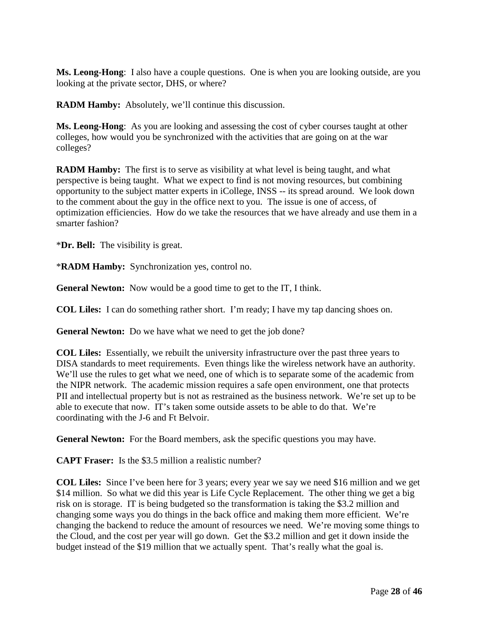**Ms. Leong-Hong**: I also have a couple questions. One is when you are looking outside, are you looking at the private sector, DHS, or where?

**RADM Hamby:** Absolutely, we'll continue this discussion.

**Ms. Leong-Hong**: As you are looking and assessing the cost of cyber courses taught at other colleges, how would you be synchronized with the activities that are going on at the war colleges?

**RADM Hamby:** The first is to serve as visibility at what level is being taught, and what perspective is being taught. What we expect to find is not moving resources, but combining opportunity to the subject matter experts in iCollege, INSS -- its spread around. We look down to the comment about the guy in the office next to you. The issue is one of access, of optimization efficiencies. How do we take the resources that we have already and use them in a smarter fashion?

\***Dr. Bell:** The visibility is great.

\***RADM Hamby:** Synchronization yes, control no.

**General Newton:** Now would be a good time to get to the IT, I think.

**COL Liles:** I can do something rather short. I'm ready; I have my tap dancing shoes on.

**General Newton:** Do we have what we need to get the job done?

**COL Liles:** Essentially, we rebuilt the university infrastructure over the past three years to DISA standards to meet requirements. Even things like the wireless network have an authority. We'll use the rules to get what we need, one of which is to separate some of the academic from the NIPR network. The academic mission requires a safe open environment, one that protects PII and intellectual property but is not as restrained as the business network. We're set up to be able to execute that now. IT's taken some outside assets to be able to do that. We're coordinating with the J-6 and Ft Belvoir.

**General Newton:** For the Board members, ask the specific questions you may have.

**CAPT Fraser:** Is the \$3.5 million a realistic number?

**COL Liles:** Since I've been here for 3 years; every year we say we need \$16 million and we get \$14 million. So what we did this year is Life Cycle Replacement. The other thing we get a big risk on is storage. IT is being budgeted so the transformation is taking the \$3.2 million and changing some ways you do things in the back office and making them more efficient. We're changing the backend to reduce the amount of resources we need. We're moving some things to the Cloud, and the cost per year will go down. Get the \$3.2 million and get it down inside the budget instead of the \$19 million that we actually spent. That's really what the goal is.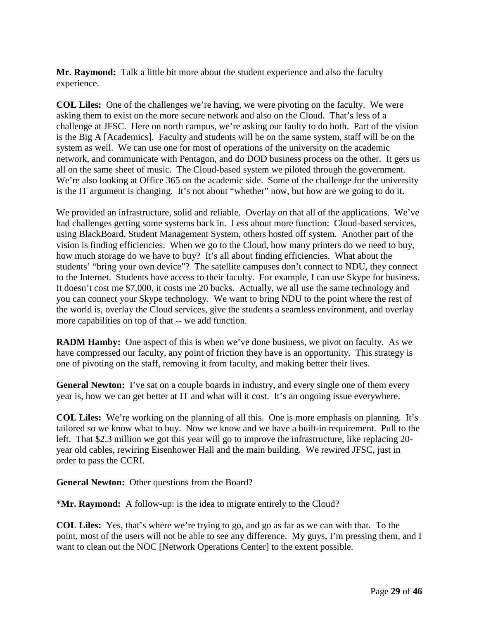**Mr. Raymond:** Talk a little bit more about the student experience and also the faculty experience.

**COL Liles:** One of the challenges we're having, we were pivoting on the faculty. We were asking them to exist on the more secure network and also on the Cloud. That's less of a challenge at JFSC. Here on north campus, we're asking our faulty to do both. Part of the vision is the Big A [Academics]. Faculty and students will be on the same system, staff will be on the system as well. We can use one for most of operations of the university on the academic network, and communicate with Pentagon, and do DOD business process on the other. It gets us all on the same sheet of music. The Cloud-based system we piloted through the government. We're also looking at Office 365 on the academic side. Some of the challenge for the university is the IT argument is changing. It's not about "whether" now, but how are we going to do it.

We provided an infrastructure, solid and reliable. Overlay on that all of the applications. We've had challenges getting some systems back in. Less about more function: Cloud-based services, using BlackBoard, Student Management System, others hosted off system. Another part of the vision is finding efficiencies. When we go to the Cloud, how many printers do we need to buy, how much storage do we have to buy? It's all about finding efficiencies. What about the students' "bring your own device"? The satellite campuses don't connect to NDU, they connect to the Internet. Students have access to their faculty. For example, I can use Skype for business. It doesn't cost me \$7,000, it costs me 20 bucks. Actually, we all use the same technology and you can connect your Skype technology. We want to bring NDU to the point where the rest of the world is, overlay the Cloud services, give the students a seamless environment, and overlay more capabilities on top of that -- we add function.

**RADM Hamby:** One aspect of this is when we've done business, we pivot on faculty. As we have compressed our faculty, any point of friction they have is an opportunity. This strategy is one of pivoting on the staff, removing it from faculty, and making better their lives.

**General Newton:** I've sat on a couple boards in industry, and every single one of them every year is, how we can get better at IT and what will it cost. It's an ongoing issue everywhere.

**COL Liles:** We're working on the planning of all this. One is more emphasis on planning. It's tailored so we know what to buy. Now we know and we have a built-in requirement. Pull to the left. That \$2.3 million we got this year will go to improve the infrastructure, like replacing 20 year old cables, rewiring Eisenhower Hall and the main building. We rewired JFSC, just in order to pass the CCRI.

**General Newton:** Other questions from the Board?

\***Mr. Raymond:** A follow-up: is the idea to migrate entirely to the Cloud?

**COL Liles:** Yes, that's where we're trying to go, and go as far as we can with that. To the point, most of the users will not be able to see any difference. My guys, I'm pressing them, and I want to clean out the NOC [Network Operations Center] to the extent possible.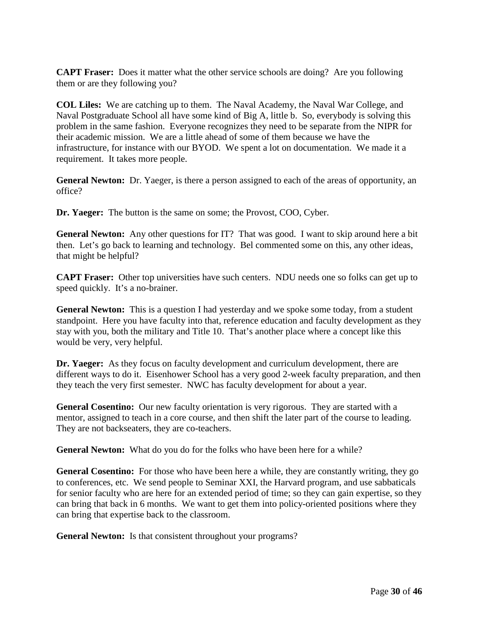**CAPT Fraser:** Does it matter what the other service schools are doing? Are you following them or are they following you?

**COL Liles:** We are catching up to them. The Naval Academy, the Naval War College, and Naval Postgraduate School all have some kind of Big A, little b. So, everybody is solving this problem in the same fashion. Everyone recognizes they need to be separate from the NIPR for their academic mission. We are a little ahead of some of them because we have the infrastructure, for instance with our BYOD. We spent a lot on documentation. We made it a requirement. It takes more people.

**General Newton:** Dr. Yaeger, is there a person assigned to each of the areas of opportunity, an office?

**Dr. Yaeger:** The button is the same on some; the Provost, COO, Cyber.

**General Newton:** Any other questions for IT? That was good. I want to skip around here a bit then. Let's go back to learning and technology. Bel commented some on this, any other ideas, that might be helpful?

**CAPT Fraser:** Other top universities have such centers. NDU needs one so folks can get up to speed quickly. It's a no-brainer.

**General Newton:** This is a question I had yesterday and we spoke some today, from a student standpoint. Here you have faculty into that, reference education and faculty development as they stay with you, both the military and Title 10. That's another place where a concept like this would be very, very helpful.

**Dr. Yaeger:** As they focus on faculty development and curriculum development, there are different ways to do it. Eisenhower School has a very good 2-week faculty preparation, and then they teach the very first semester. NWC has faculty development for about a year.

**General Cosentino:** Our new faculty orientation is very rigorous. They are started with a mentor, assigned to teach in a core course, and then shift the later part of the course to leading. They are not backseaters, they are co-teachers.

**General Newton:** What do you do for the folks who have been here for a while?

**General Cosentino:** For those who have been here a while, they are constantly writing, they go to conferences, etc. We send people to Seminar XXI, the Harvard program, and use sabbaticals for senior faculty who are here for an extended period of time; so they can gain expertise, so they can bring that back in 6 months. We want to get them into policy-oriented positions where they can bring that expertise back to the classroom.

**General Newton:** Is that consistent throughout your programs?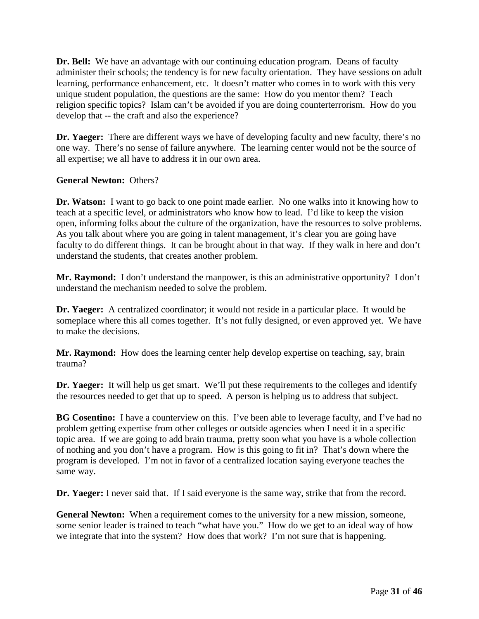**Dr. Bell:** We have an advantage with our continuing education program. Deans of faculty administer their schools; the tendency is for new faculty orientation. They have sessions on adult learning, performance enhancement, etc. It doesn't matter who comes in to work with this very unique student population, the questions are the same: How do you mentor them? Teach religion specific topics? Islam can't be avoided if you are doing counterterrorism. How do you develop that -- the craft and also the experience?

**Dr. Yaeger:** There are different ways we have of developing faculty and new faculty, there's no one way. There's no sense of failure anywhere. The learning center would not be the source of all expertise; we all have to address it in our own area.

#### **General Newton:** Others?

**Dr. Watson:** I want to go back to one point made earlier. No one walks into it knowing how to teach at a specific level, or administrators who know how to lead. I'd like to keep the vision open, informing folks about the culture of the organization, have the resources to solve problems. As you talk about where you are going in talent management, it's clear you are going have faculty to do different things. It can be brought about in that way. If they walk in here and don't understand the students, that creates another problem.

**Mr. Raymond:** I don't understand the manpower, is this an administrative opportunity? I don't understand the mechanism needed to solve the problem.

**Dr. Yaeger:** A centralized coordinator; it would not reside in a particular place. It would be someplace where this all comes together. It's not fully designed, or even approved yet. We have to make the decisions.

**Mr. Raymond:** How does the learning center help develop expertise on teaching, say, brain trauma?

**Dr. Yaeger:** It will help us get smart. We'll put these requirements to the colleges and identify the resources needed to get that up to speed. A person is helping us to address that subject.

**BG Cosentino:** I have a counterview on this. I've been able to leverage faculty, and I've had no problem getting expertise from other colleges or outside agencies when I need it in a specific topic area. If we are going to add brain trauma, pretty soon what you have is a whole collection of nothing and you don't have a program. How is this going to fit in? That's down where the program is developed. I'm not in favor of a centralized location saying everyone teaches the same way.

**Dr. Yaeger:** I never said that. If I said everyone is the same way, strike that from the record.

**General Newton:** When a requirement comes to the university for a new mission, someone, some senior leader is trained to teach "what have you." How do we get to an ideal way of how we integrate that into the system? How does that work? I'm not sure that is happening.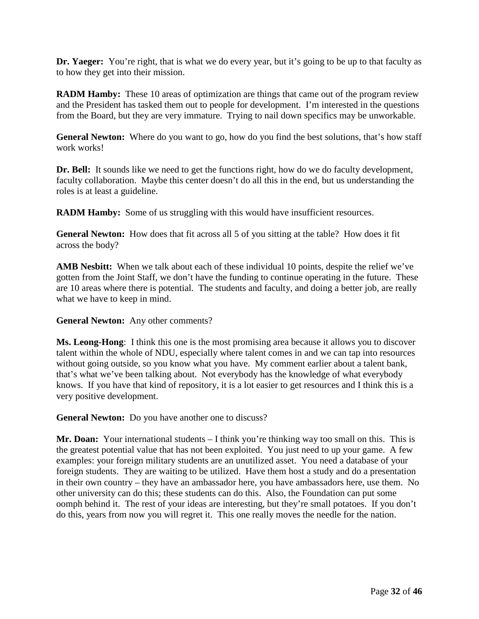**Dr. Yaeger:** You're right, that is what we do every year, but it's going to be up to that faculty as to how they get into their mission.

**RADM Hamby:** These 10 areas of optimization are things that came out of the program review and the President has tasked them out to people for development. I'm interested in the questions from the Board, but they are very immature. Trying to nail down specifics may be unworkable.

**General Newton:** Where do you want to go, how do you find the best solutions, that's how staff work works!

**Dr. Bell:** It sounds like we need to get the functions right, how do we do faculty development, faculty collaboration. Maybe this center doesn't do all this in the end, but us understanding the roles is at least a guideline.

**RADM Hamby:** Some of us struggling with this would have insufficient resources.

**General Newton:** How does that fit across all 5 of you sitting at the table? How does it fit across the body?

AMB Nesbitt: When we talk about each of these individual 10 points, despite the relief we've gotten from the Joint Staff, we don't have the funding to continue operating in the future. These are 10 areas where there is potential. The students and faculty, and doing a better job, are really what we have to keep in mind.

**General Newton:** Any other comments?

**Ms. Leong-Hong**: I think this one is the most promising area because it allows you to discover talent within the whole of NDU, especially where talent comes in and we can tap into resources without going outside, so you know what you have. My comment earlier about a talent bank, that's what we've been talking about. Not everybody has the knowledge of what everybody knows. If you have that kind of repository, it is a lot easier to get resources and I think this is a very positive development.

**General Newton:** Do you have another one to discuss?

**Mr. Doan:** Your international students – I think you're thinking way too small on this. This is the greatest potential value that has not been exploited. You just need to up your game. A few examples: your foreign military students are an unutilized asset. You need a database of your foreign students. They are waiting to be utilized. Have them host a study and do a presentation in their own country – they have an ambassador here, you have ambassadors here, use them. No other university can do this; these students can do this. Also, the Foundation can put some oomph behind it. The rest of your ideas are interesting, but they're small potatoes. If you don't do this, years from now you will regret it. This one really moves the needle for the nation.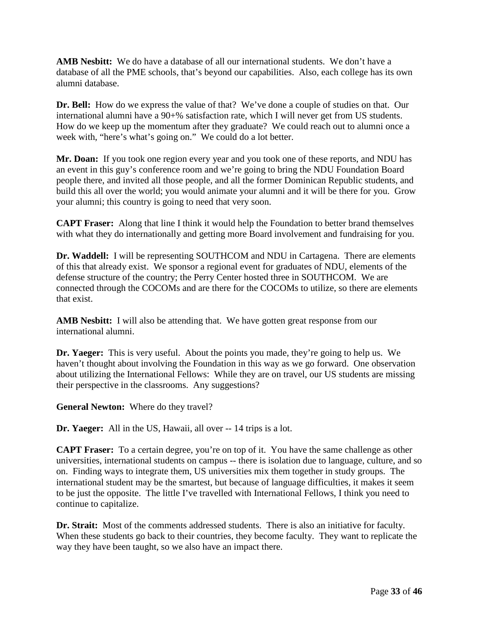**AMB Nesbitt:** We do have a database of all our international students. We don't have a database of all the PME schools, that's beyond our capabilities. Also, each college has its own alumni database.

**Dr. Bell:** How do we express the value of that? We've done a couple of studies on that. Our international alumni have a 90+% satisfaction rate, which I will never get from US students. How do we keep up the momentum after they graduate? We could reach out to alumni once a week with, "here's what's going on." We could do a lot better.

**Mr. Doan:** If you took one region every year and you took one of these reports, and NDU has an event in this guy's conference room and we're going to bring the NDU Foundation Board people there, and invited all those people, and all the former Dominican Republic students, and build this all over the world; you would animate your alumni and it will be there for you. Grow your alumni; this country is going to need that very soon.

**CAPT Fraser:** Along that line I think it would help the Foundation to better brand themselves with what they do internationally and getting more Board involvement and fundraising for you.

**Dr. Waddell:** I will be representing SOUTHCOM and NDU in Cartagena. There are elements of this that already exist. We sponsor a regional event for graduates of NDU, elements of the defense structure of the country; the Perry Center hosted three in SOUTHCOM. We are connected through the COCOMs and are there for the COCOMs to utilize, so there are elements that exist.

**AMB Nesbitt:** I will also be attending that. We have gotten great response from our international alumni.

**Dr. Yaeger:** This is very useful. About the points you made, they're going to help us. We haven't thought about involving the Foundation in this way as we go forward. One observation about utilizing the International Fellows: While they are on travel, our US students are missing their perspective in the classrooms. Any suggestions?

**General Newton:** Where do they travel?

**Dr. Yaeger:** All in the US, Hawaii, all over -- 14 trips is a lot.

**CAPT Fraser:** To a certain degree, you're on top of it. You have the same challenge as other universities, international students on campus -- there is isolation due to language, culture, and so on. Finding ways to integrate them, US universities mix them together in study groups. The international student may be the smartest, but because of language difficulties, it makes it seem to be just the opposite. The little I've travelled with International Fellows, I think you need to continue to capitalize.

**Dr. Strait:** Most of the comments addressed students. There is also an initiative for faculty. When these students go back to their countries, they become faculty. They want to replicate the way they have been taught, so we also have an impact there.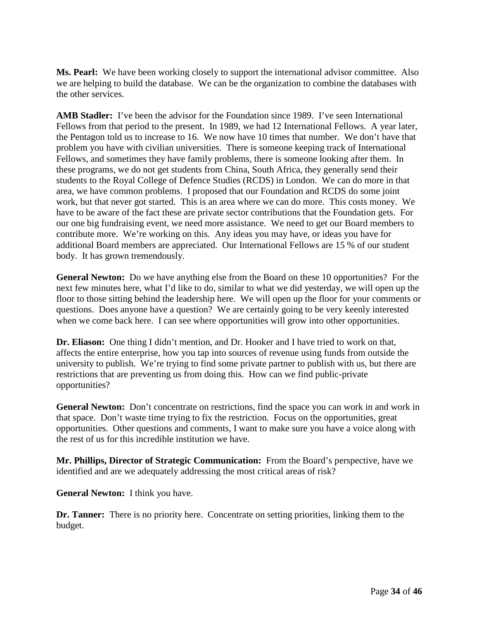**Ms. Pearl:** We have been working closely to support the international advisor committee. Also we are helping to build the database. We can be the organization to combine the databases with the other services.

**AMB Stadler:** I've been the advisor for the Foundation since 1989. I've seen International Fellows from that period to the present. In 1989, we had 12 International Fellows. A year later, the Pentagon told us to increase to 16. We now have 10 times that number. We don't have that problem you have with civilian universities. There is someone keeping track of International Fellows, and sometimes they have family problems, there is someone looking after them. In these programs, we do not get students from China, South Africa, they generally send their students to the Royal College of Defence Studies (RCDS) in London. We can do more in that area, we have common problems. I proposed that our Foundation and RCDS do some joint work, but that never got started. This is an area where we can do more. This costs money. We have to be aware of the fact these are private sector contributions that the Foundation gets. For our one big fundraising event, we need more assistance. We need to get our Board members to contribute more. We're working on this. Any ideas you may have, or ideas you have for additional Board members are appreciated. Our International Fellows are 15 % of our student body. It has grown tremendously.

**General Newton:** Do we have anything else from the Board on these 10 opportunities? For the next few minutes here, what I'd like to do, similar to what we did yesterday, we will open up the floor to those sitting behind the leadership here. We will open up the floor for your comments or questions. Does anyone have a question? We are certainly going to be very keenly interested when we come back here. I can see where opportunities will grow into other opportunities.

**Dr. Eliason:** One thing I didn't mention, and Dr. Hooker and I have tried to work on that, affects the entire enterprise, how you tap into sources of revenue using funds from outside the university to publish. We're trying to find some private partner to publish with us, but there are restrictions that are preventing us from doing this. How can we find public-private opportunities?

**General Newton:** Don't concentrate on restrictions, find the space you can work in and work in that space. Don't waste time trying to fix the restriction. Focus on the opportunities, great opportunities. Other questions and comments, I want to make sure you have a voice along with the rest of us for this incredible institution we have.

**Mr. Phillips, Director of Strategic Communication:** From the Board's perspective, have we identified and are we adequately addressing the most critical areas of risk?

**General Newton:** I think you have.

**Dr. Tanner:** There is no priority here. Concentrate on setting priorities, linking them to the budget.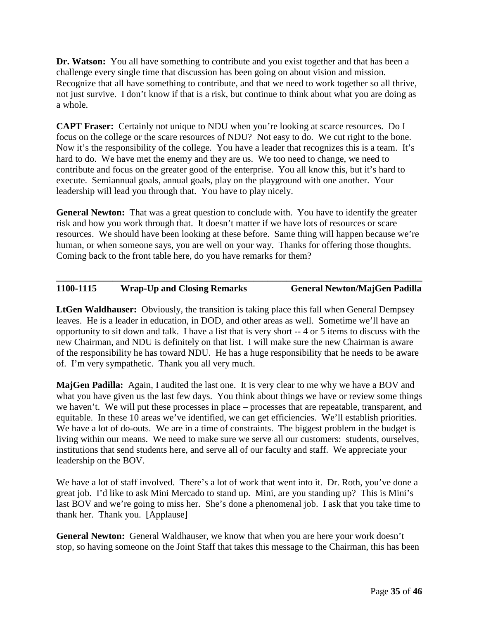**Dr. Watson:** You all have something to contribute and you exist together and that has been a challenge every single time that discussion has been going on about vision and mission. Recognize that all have something to contribute, and that we need to work together so all thrive, not just survive. I don't know if that is a risk, but continue to think about what you are doing as a whole.

**CAPT Fraser:** Certainly not unique to NDU when you're looking at scarce resources. Do I focus on the college or the scare resources of NDU? Not easy to do. We cut right to the bone. Now it's the responsibility of the college. You have a leader that recognizes this is a team. It's hard to do. We have met the enemy and they are us. We too need to change, we need to contribute and focus on the greater good of the enterprise. You all know this, but it's hard to execute. Semiannual goals, annual goals, play on the playground with one another. Your leadership will lead you through that. You have to play nicely.

**General Newton:** That was a great question to conclude with. You have to identify the greater risk and how you work through that. It doesn't matter if we have lots of resources or scare resources. We should have been looking at these before. Same thing will happen because we're human, or when someone says, you are well on your way. Thanks for offering those thoughts. Coming back to the front table here, do you have remarks for them?

#### **\_\_\_\_\_\_\_\_\_\_\_\_\_\_\_\_\_\_\_\_\_\_\_\_\_\_\_\_\_\_\_\_\_\_\_\_\_\_\_\_\_\_\_\_\_\_\_\_\_\_\_\_\_\_\_\_\_\_\_\_\_\_\_\_\_\_\_\_\_\_\_\_\_\_\_\_\_\_ 1100-1115 Wrap-Up and Closing Remarks General Newton/MajGen Padilla**

**LtGen Waldhauser:** Obviously, the transition is taking place this fall when General Dempsey leaves. He is a leader in education, in DOD, and other areas as well. Sometime we'll have an opportunity to sit down and talk. I have a list that is very short -- 4 or 5 items to discuss with the new Chairman, and NDU is definitely on that list. I will make sure the new Chairman is aware of the responsibility he has toward NDU. He has a huge responsibility that he needs to be aware of. I'm very sympathetic. Thank you all very much.

**MajGen Padilla:** Again, I audited the last one. It is very clear to me why we have a BOV and what you have given us the last few days. You think about things we have or review some things we haven't. We will put these processes in place – processes that are repeatable, transparent, and equitable. In these 10 areas we've identified, we can get efficiencies. We'll establish priorities. We have a lot of do-outs. We are in a time of constraints. The biggest problem in the budget is living within our means. We need to make sure we serve all our customers: students, ourselves, institutions that send students here, and serve all of our faculty and staff. We appreciate your leadership on the BOV.

We have a lot of staff involved. There's a lot of work that went into it. Dr. Roth, you've done a great job. I'd like to ask Mini Mercado to stand up. Mini, are you standing up? This is Mini's last BOV and we're going to miss her. She's done a phenomenal job. I ask that you take time to thank her. Thank you. [Applause]

**General Newton:** General Waldhauser, we know that when you are here your work doesn't stop, so having someone on the Joint Staff that takes this message to the Chairman, this has been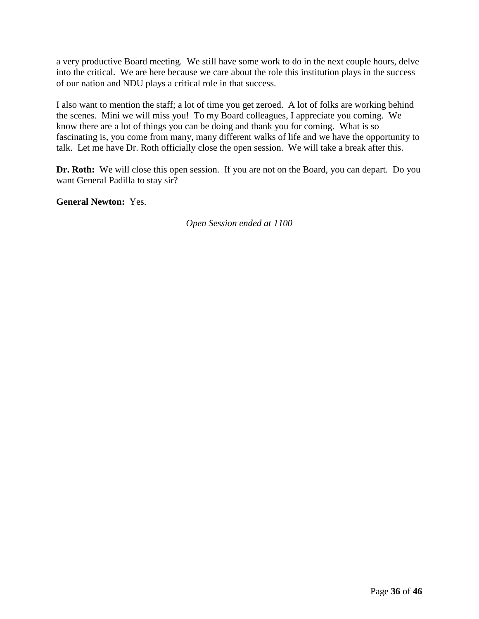a very productive Board meeting. We still have some work to do in the next couple hours, delve into the critical. We are here because we care about the role this institution plays in the success of our nation and NDU plays a critical role in that success.

I also want to mention the staff; a lot of time you get zeroed. A lot of folks are working behind the scenes. Mini we will miss you! To my Board colleagues, I appreciate you coming. We know there are a lot of things you can be doing and thank you for coming. What is so fascinating is, you come from many, many different walks of life and we have the opportunity to talk. Let me have Dr. Roth officially close the open session. We will take a break after this.

**Dr. Roth:** We will close this open session. If you are not on the Board, you can depart. Do you want General Padilla to stay sir?

**General Newton:** Yes.

*Open Session ended at 1100*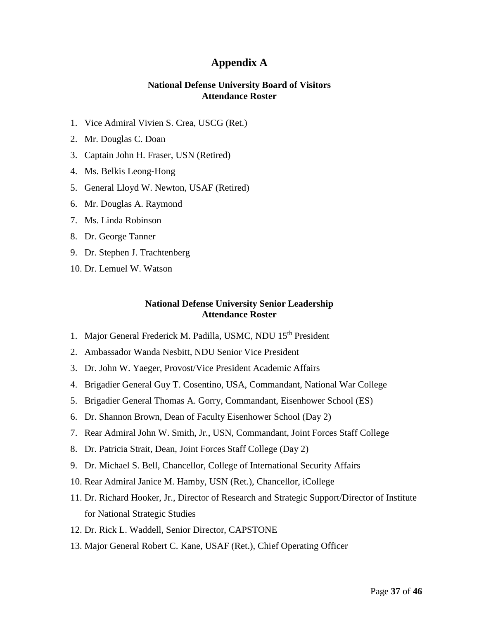#### **Appendix A**

#### **National Defense University Board of Visitors Attendance Roster**

- 1. Vice Admiral Vivien S. Crea, USCG (Ret.)
- 2. Mr. Douglas C. Doan
- 3. Captain John H. Fraser, USN (Retired)
- 4. Ms. Belkis Leong‐Hong
- 5. General Lloyd W. Newton, USAF (Retired)
- 6. Mr. Douglas A. Raymond
- 7. Ms. Linda Robinson
- 8. Dr. George Tanner
- 9. Dr. Stephen J. Trachtenberg
- 10. Dr. Lemuel W. Watson

#### **National Defense University Senior Leadership Attendance Roster**

- 1. Major General Frederick M. Padilla, USMC, NDU 15<sup>th</sup> President
- 2. Ambassador Wanda Nesbitt, NDU Senior Vice President
- 3. Dr. John W. Yaeger, Provost/Vice President Academic Affairs
- 4. Brigadier General Guy T. Cosentino, USA, Commandant, National War College
- 5. Brigadier General Thomas A. Gorry, Commandant, Eisenhower School (ES)
- 6. Dr. Shannon Brown, Dean of Faculty Eisenhower School (Day 2)
- 7. Rear Admiral John W. Smith, Jr., USN, Commandant, Joint Forces Staff College
- 8. Dr. Patricia Strait, Dean, Joint Forces Staff College (Day 2)
- 9. Dr. Michael S. Bell, Chancellor, College of International Security Affairs
- 10. Rear Admiral Janice M. Hamby, USN (Ret.), Chancellor, iCollege
- 11. Dr. Richard Hooker, Jr., Director of Research and Strategic Support/Director of Institute for National Strategic Studies
- 12. Dr. Rick L. Waddell, Senior Director, CAPSTONE
- 13. Major General Robert C. Kane, USAF (Ret.), Chief Operating Officer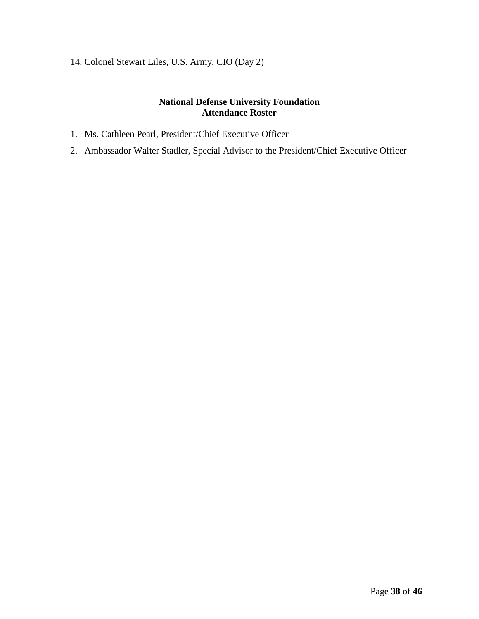14. Colonel Stewart Liles, U.S. Army, CIO (Day 2)

#### **National Defense University Foundation Attendance Roster**

- 1. Ms. Cathleen Pearl, President/Chief Executive Officer
- 2. Ambassador Walter Stadler, Special Advisor to the President/Chief Executive Officer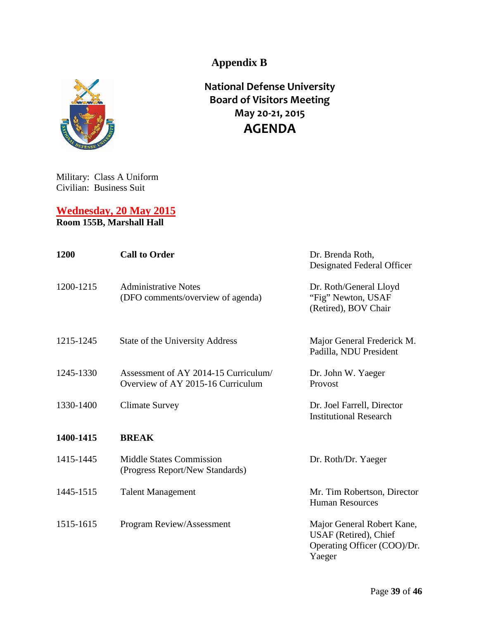**Appendix B**



**National Defense University Board of Visitors Meeting May 20-21, 2015 AGENDA**

Military: Class A Uniform Civilian: Business Suit

**Wednesday, 20 May 2015 Room 155B, Marshall Hall**

| 1200      | <b>Call to Order</b>                                                     | Dr. Brenda Roth,<br>Designated Federal Officer                                               |
|-----------|--------------------------------------------------------------------------|----------------------------------------------------------------------------------------------|
| 1200-1215 | <b>Administrative Notes</b><br>(DFO comments/overview of agenda)         | Dr. Roth/General Lloyd<br>"Fig" Newton, USAF<br>(Retired), BOV Chair                         |
| 1215-1245 | State of the University Address                                          | Major General Frederick M.<br>Padilla, NDU President                                         |
| 1245-1330 | Assessment of AY 2014-15 Curriculum<br>Overview of AY 2015-16 Curriculum | Dr. John W. Yaeger<br>Provost                                                                |
| 1330-1400 | <b>Climate Survey</b>                                                    | Dr. Joel Farrell, Director<br><b>Institutional Research</b>                                  |
| 1400-1415 | <b>BREAK</b>                                                             |                                                                                              |
| 1415-1445 | <b>Middle States Commission</b><br>(Progress Report/New Standards)       | Dr. Roth/Dr. Yaeger                                                                          |
| 1445-1515 | <b>Talent Management</b>                                                 | Mr. Tim Robertson, Director<br><b>Human Resources</b>                                        |
| 1515-1615 | Program Review/Assessment                                                | Major General Robert Kane,<br>USAF (Retired), Chief<br>Operating Officer (COO)/Dr.<br>Yaeger |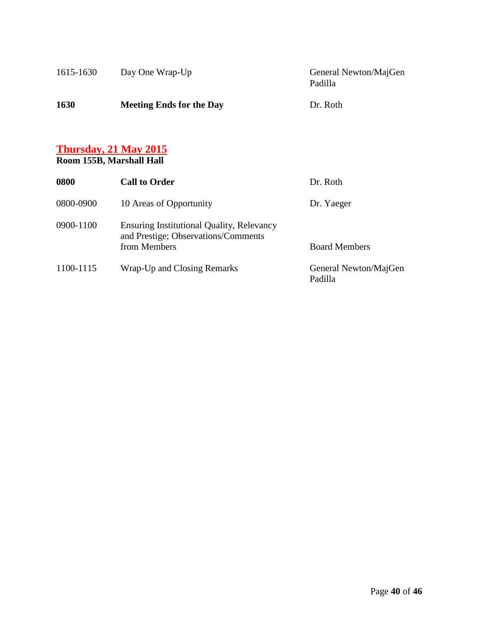| 1615-1630 | Day One Wrap-Up                 | General Newton/MajGen<br>Padilla |
|-----------|---------------------------------|----------------------------------|
| 1630      | <b>Meeting Ends for the Day</b> | Dr. Roth                         |

#### **Thursday, 21 May 2015**

#### **Room 155B, Marshall Hall**

| 0800      | <b>Call to Order</b>                                                                                    | Dr. Roth                         |
|-----------|---------------------------------------------------------------------------------------------------------|----------------------------------|
| 0800-0900 | 10 Areas of Opportunity                                                                                 | Dr. Yaeger                       |
| 0900-1100 | <b>Ensuring Institutional Quality, Relevancy</b><br>and Prestige; Observations/Comments<br>from Members | <b>Board Members</b>             |
| 1100-1115 | Wrap-Up and Closing Remarks                                                                             | General Newton/MajGen<br>Padilla |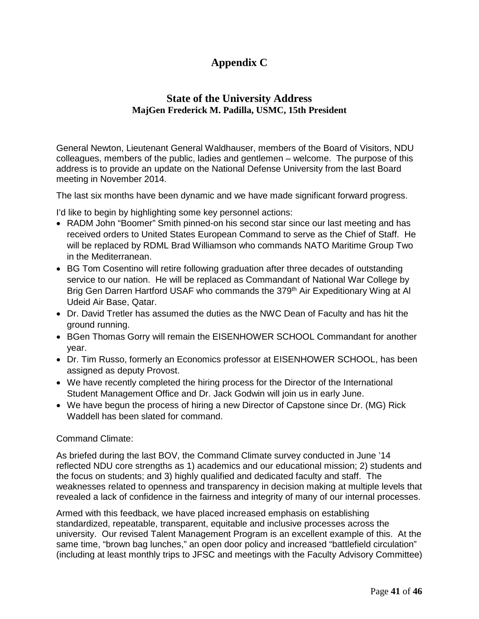### **Appendix C**

#### **State of the University Address MajGen Frederick M. Padilla, USMC, 15th President**

General Newton, Lieutenant General Waldhauser, members of the Board of Visitors, NDU colleagues, members of the public, ladies and gentlemen – welcome. The purpose of this address is to provide an update on the National Defense University from the last Board meeting in November 2014.

The last six months have been dynamic and we have made significant forward progress.

I'd like to begin by highlighting some key personnel actions:

- RADM John "Boomer" Smith pinned-on his second star since our last meeting and has received orders to United States European Command to serve as the Chief of Staff. He will be replaced by RDML Brad Williamson who commands NATO Maritime Group Two in the Mediterranean.
- BG Tom Cosentino will retire following graduation after three decades of outstanding service to our nation. He will be replaced as Commandant of National War College by Brig Gen Darren Hartford USAF who commands the 379<sup>th</sup> Air Expeditionary Wing at Al Udeid Air Base, Qatar.
- Dr. David Tretler has assumed the duties as the NWC Dean of Faculty and has hit the ground running.
- BGen Thomas Gorry will remain the EISENHOWER SCHOOL Commandant for another year.
- Dr. Tim Russo, formerly an Economics professor at EISENHOWER SCHOOL, has been assigned as deputy Provost.
- We have recently completed the hiring process for the Director of the International Student Management Office and Dr. Jack Godwin will join us in early June.
- We have begun the process of hiring a new Director of Capstone since Dr. (MG) Rick Waddell has been slated for command.

#### Command Climate:

As briefed during the last BOV, the Command Climate survey conducted in June '14 reflected NDU core strengths as 1) academics and our educational mission; 2) students and the focus on students; and 3) highly qualified and dedicated faculty and staff. The weaknesses related to openness and transparency in decision making at multiple levels that revealed a lack of confidence in the fairness and integrity of many of our internal processes.

Armed with this feedback, we have placed increased emphasis on establishing standardized, repeatable, transparent, equitable and inclusive processes across the university. Our revised Talent Management Program is an excellent example of this. At the same time, "brown bag lunches," an open door policy and increased "battlefield circulation" (including at least monthly trips to JFSC and meetings with the Faculty Advisory Committee)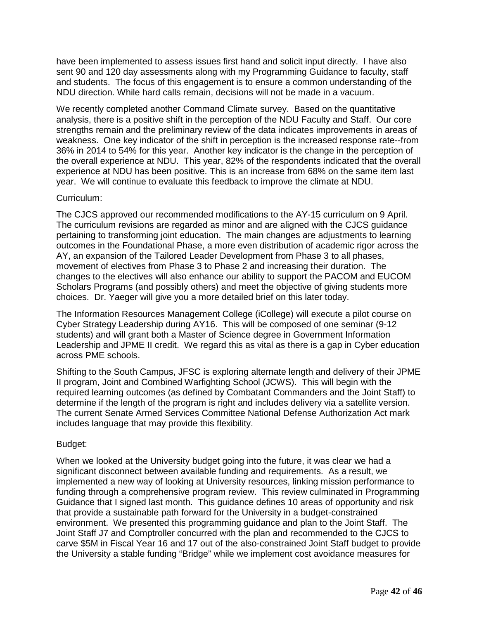have been implemented to assess issues first hand and solicit input directly. I have also sent 90 and 120 day assessments along with my Programming Guidance to faculty, staff and students. The focus of this engagement is to ensure a common understanding of the NDU direction. While hard calls remain, decisions will not be made in a vacuum.

We recently completed another Command Climate survey. Based on the quantitative analysis, there is a positive shift in the perception of the NDU Faculty and Staff. Our core strengths remain and the preliminary review of the data indicates improvements in areas of weakness. One key indicator of the shift in perception is the increased response rate--from 36% in 2014 to 54% for this year. Another key indicator is the change in the perception of the overall experience at NDU. This year, 82% of the respondents indicated that the overall experience at NDU has been positive. This is an increase from 68% on the same item last year. We will continue to evaluate this feedback to improve the climate at NDU.

#### Curriculum:

The CJCS approved our recommended modifications to the AY-15 curriculum on 9 April. The curriculum revisions are regarded as minor and are aligned with the CJCS guidance pertaining to transforming joint education. The main changes are adjustments to learning outcomes in the Foundational Phase, a more even distribution of academic rigor across the AY, an expansion of the Tailored Leader Development from Phase 3 to all phases, movement of electives from Phase 3 to Phase 2 and increasing their duration. The changes to the electives will also enhance our ability to support the PACOM and EUCOM Scholars Programs (and possibly others) and meet the objective of giving students more choices. Dr. Yaeger will give you a more detailed brief on this later today.

The Information Resources Management College (iCollege) will execute a pilot course on Cyber Strategy Leadership during AY16. This will be composed of one seminar (9-12 students) and will grant both a Master of Science degree in Government Information Leadership and JPME II credit. We regard this as vital as there is a gap in Cyber education across PME schools.

Shifting to the South Campus, JFSC is exploring alternate length and delivery of their JPME II program, Joint and Combined Warfighting School (JCWS). This will begin with the required learning outcomes (as defined by Combatant Commanders and the Joint Staff) to determine if the length of the program is right and includes delivery via a satellite version. The current Senate Armed Services Committee National Defense Authorization Act mark includes language that may provide this flexibility.

#### Budget:

When we looked at the University budget going into the future, it was clear we had a significant disconnect between available funding and requirements. As a result, we implemented a new way of looking at University resources, linking mission performance to funding through a comprehensive program review. This review culminated in Programming Guidance that I signed last month. This guidance defines 10 areas of opportunity and risk that provide a sustainable path forward for the University in a budget-constrained environment. We presented this programming guidance and plan to the Joint Staff. The Joint Staff J7 and Comptroller concurred with the plan and recommended to the CJCS to carve \$5M in Fiscal Year 16 and 17 out of the also-constrained Joint Staff budget to provide the University a stable funding "Bridge" while we implement cost avoidance measures for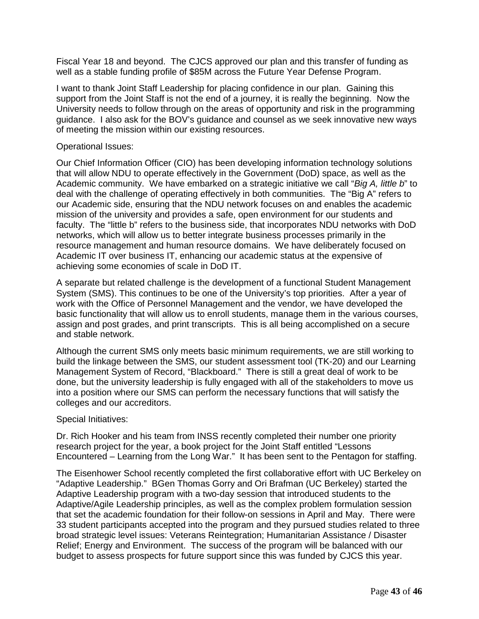Fiscal Year 18 and beyond. The CJCS approved our plan and this transfer of funding as well as a stable funding profile of \$85M across the Future Year Defense Program.

I want to thank Joint Staff Leadership for placing confidence in our plan. Gaining this support from the Joint Staff is not the end of a journey, it is really the beginning. Now the University needs to follow through on the areas of opportunity and risk in the programming guidance. I also ask for the BOV's guidance and counsel as we seek innovative new ways of meeting the mission within our existing resources.

#### Operational Issues:

Our Chief Information Officer (CIO) has been developing information technology solutions that will allow NDU to operate effectively in the Government (DoD) space, as well as the Academic community. We have embarked on a strategic initiative we call "*Big A, little b*" to deal with the challenge of operating effectively in both communities. The "Big A" refers to our Academic side, ensuring that the NDU network focuses on and enables the academic mission of the university and provides a safe, open environment for our students and faculty. The "little b" refers to the business side, that incorporates NDU networks with DoD networks, which will allow us to better integrate business processes primarily in the resource management and human resource domains. We have deliberately focused on Academic IT over business IT, enhancing our academic status at the expensive of achieving some economies of scale in DoD IT.

A separate but related challenge is the development of a functional Student Management System (SMS). This continues to be one of the University's top priorities. After a year of work with the Office of Personnel Management and the vendor, we have developed the basic functionality that will allow us to enroll students, manage them in the various courses, assign and post grades, and print transcripts. This is all being accomplished on a secure and stable network.

Although the current SMS only meets basic minimum requirements, we are still working to build the linkage between the SMS, our student assessment tool (TK-20) and our Learning Management System of Record, "Blackboard." There is still a great deal of work to be done, but the university leadership is fully engaged with all of the stakeholders to move us into a position where our SMS can perform the necessary functions that will satisfy the colleges and our accreditors.

#### Special Initiatives:

Dr. Rich Hooker and his team from INSS recently completed their number one priority research project for the year, a book project for the Joint Staff entitled "Lessons Encountered – Learning from the Long War." It has been sent to the Pentagon for staffing.

The Eisenhower School recently completed the first collaborative effort with UC Berkeley on "Adaptive Leadership." BGen Thomas Gorry and Ori Brafman (UC Berkeley) started the Adaptive Leadership program with a two-day session that introduced students to the Adaptive/Agile Leadership principles, as well as the complex problem formulation session that set the academic foundation for their follow-on sessions in April and May. There were 33 student participants accepted into the program and they pursued studies related to three broad strategic level issues: Veterans Reintegration; Humanitarian Assistance / Disaster Relief; Energy and Environment. The success of the program will be balanced with our budget to assess prospects for future support since this was funded by CJCS this year.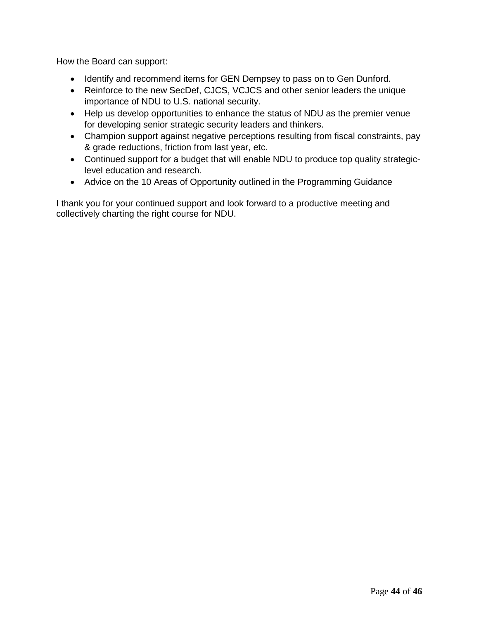How the Board can support:

- Identify and recommend items for GEN Dempsey to pass on to Gen Dunford.
- Reinforce to the new SecDef, CJCS, VCJCS and other senior leaders the unique importance of NDU to U.S. national security.
- Help us develop opportunities to enhance the status of NDU as the premier venue for developing senior strategic security leaders and thinkers.
- Champion support against negative perceptions resulting from fiscal constraints, pay & grade reductions, friction from last year, etc.
- Continued support for a budget that will enable NDU to produce top quality strategiclevel education and research.
- Advice on the 10 Areas of Opportunity outlined in the Programming Guidance

I thank you for your continued support and look forward to a productive meeting and collectively charting the right course for NDU.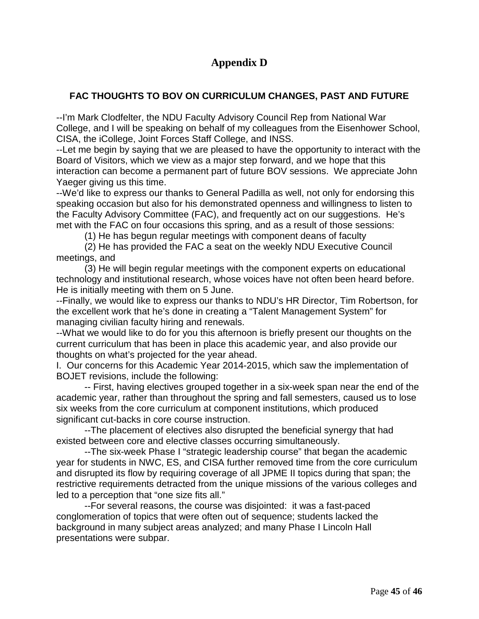### **Appendix D**

#### **FAC THOUGHTS TO BOV ON CURRICULUM CHANGES, PAST AND FUTURE**

--I'm Mark Clodfelter, the NDU Faculty Advisory Council Rep from National War College, and I will be speaking on behalf of my colleagues from the Eisenhower School, CISA, the iCollege, Joint Forces Staff College, and INSS.

--Let me begin by saying that we are pleased to have the opportunity to interact with the Board of Visitors, which we view as a major step forward, and we hope that this interaction can become a permanent part of future BOV sessions. We appreciate John Yaeger giving us this time.

--We'd like to express our thanks to General Padilla as well, not only for endorsing this speaking occasion but also for his demonstrated openness and willingness to listen to the Faculty Advisory Committee (FAC), and frequently act on our suggestions. He's met with the FAC on four occasions this spring, and as a result of those sessions:

(1) He has begun regular meetings with component deans of faculty

(2) He has provided the FAC a seat on the weekly NDU Executive Council meetings, and

(3) He will begin regular meetings with the component experts on educational technology and institutional research, whose voices have not often been heard before. He is initially meeting with them on 5 June.

--Finally, we would like to express our thanks to NDU's HR Director, Tim Robertson, for the excellent work that he's done in creating a "Talent Management System" for managing civilian faculty hiring and renewals.

--What we would like to do for you this afternoon is briefly present our thoughts on the current curriculum that has been in place this academic year, and also provide our thoughts on what's projected for the year ahead.

I. Our concerns for this Academic Year 2014-2015, which saw the implementation of BOJET revisions, include the following:

-- First, having electives grouped together in a six-week span near the end of the academic year, rather than throughout the spring and fall semesters, caused us to lose six weeks from the core curriculum at component institutions, which produced significant cut-backs in core course instruction.

--The placement of electives also disrupted the beneficial synergy that had existed between core and elective classes occurring simultaneously.

--The six-week Phase I "strategic leadership course" that began the academic year for students in NWC, ES, and CISA further removed time from the core curriculum and disrupted its flow by requiring coverage of all JPME II topics during that span; the restrictive requirements detracted from the unique missions of the various colleges and led to a perception that "one size fits all."

--For several reasons, the course was disjointed: it was a fast-paced conglomeration of topics that were often out of sequence; students lacked the background in many subject areas analyzed; and many Phase I Lincoln Hall presentations were subpar.